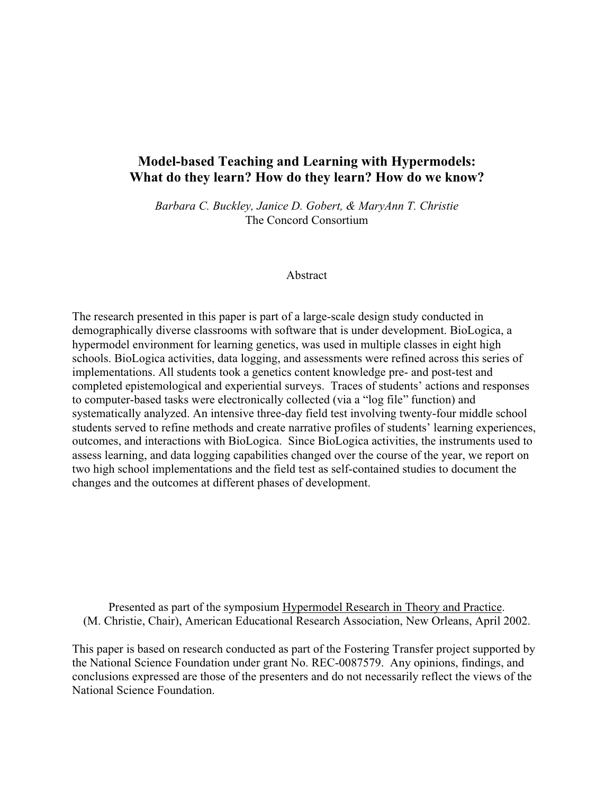# Model-based Teaching and Learning with Hypermodels: What do they learn? How do they learn? How do we know?

Barbara C. Buckley, Janice D. Gobert, & MaryAnn T. Christie The Concord Consortium

#### Abstract

The research presented in this paper is part of a large-scale design study conducted in demographically diverse classrooms with software that is under development. BioLogica, a hypermodel environment for learning genetics, was used in multiple classes in eight high schools. BioLogica activities, data logging, and assessments were refined across this series of implementations. All students took a genetics content knowledge pre- and post-test and completed epistemological and experiential surveys. Traces of students' actions and responses to computer-based tasks were electronically collected (via a "log file" function) and systematically analyzed. An intensive three-day field test involving twenty-four middle school students served to refine methods and create narrative profiles of students' learning experiences, outcomes, and interactions with BioLogica. Since BioLogica activities, the instruments used to assess learning, and data logging capabilities changed over the course of the year, we report on two high school implementations and the field test as self-contained studies to document the changes and the outcomes at different phases of development.

Presented as part of the symposium Hypermodel Research in Theory and Practice. (M. Christie, Chair), American Educational Research Association, New Orleans, April 2002.

This paper is based on research conducted as part of the Fostering Transfer project supported by the National Science Foundation under grant No. REC-0087579. Any opinions, findings, and conclusions expressed are those of the presenters and do not necessarily reflect the views of the National Science Foundation.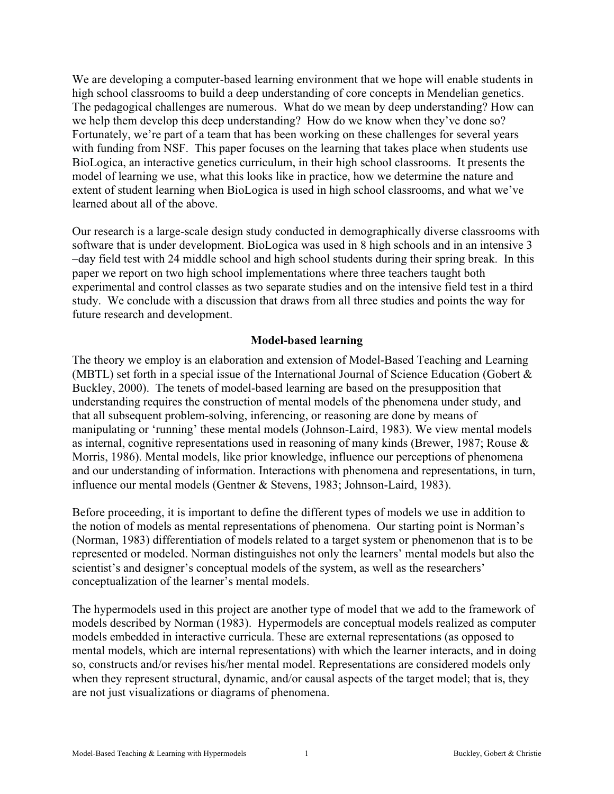We are developing a computer-based learning environment that we hope will enable students in high school classrooms to build a deep understanding of core concepts in Mendelian genetics. The pedagogical challenges are numerous. What do we mean by deep understanding? How can we help them develop this deep understanding? How do we know when they've done so? Fortunately, we're part of a team that has been working on these challenges for several years with funding from NSF. This paper focuses on the learning that takes place when students use BioLogica, an interactive genetics curriculum, in their high school classrooms. It presents the model of learning we use, what this looks like in practice, how we determine the nature and extent of student learning when BioLogica is used in high school classrooms, and what we've learned about all of the above.

Our research is a large-scale design study conducted in demographically diverse classrooms with software that is under development. BioLogica was used in 8 high schools and in an intensive 3 –day field test with 24 middle school and high school students during their spring break. In this paper we report on two high school implementations where three teachers taught both experimental and control classes as two separate studies and on the intensive field test in a third study. We conclude with a discussion that draws from all three studies and points the way for future research and development.

#### Model-based learning

The theory we employ is an elaboration and extension of Model-Based Teaching and Learning (MBTL) set forth in a special issue of the International Journal of Science Education (Gobert & Buckley, 2000). The tenets of model-based learning are based on the presupposition that understanding requires the construction of mental models of the phenomena under study, and that all subsequent problem-solving, inferencing, or reasoning are done by means of manipulating or 'running' these mental models (Johnson-Laird, 1983). We view mental models as internal, cognitive representations used in reasoning of many kinds (Brewer, 1987; Rouse & Morris, 1986). Mental models, like prior knowledge, influence our perceptions of phenomena and our understanding of information. Interactions with phenomena and representations, in turn, influence our mental models (Gentner & Stevens, 1983; Johnson-Laird, 1983).

Before proceeding, it is important to define the different types of models we use in addition to the notion of models as mental representations of phenomena. Our starting point is Norman's (Norman, 1983) differentiation of models related to a target system or phenomenon that is to be represented or modeled. Norman distinguishes not only the learners' mental models but also the scientist's and designer's conceptual models of the system, as well as the researchers' conceptualization of the learner's mental models.

The hypermodels used in this project are another type of model that we add to the framework of models described by Norman (1983). Hypermodels are conceptual models realized as computer models embedded in interactive curricula. These are external representations (as opposed to mental models, which are internal representations) with which the learner interacts, and in doing so, constructs and/or revises his/her mental model. Representations are considered models only when they represent structural, dynamic, and/or causal aspects of the target model; that is, they are not just visualizations or diagrams of phenomena.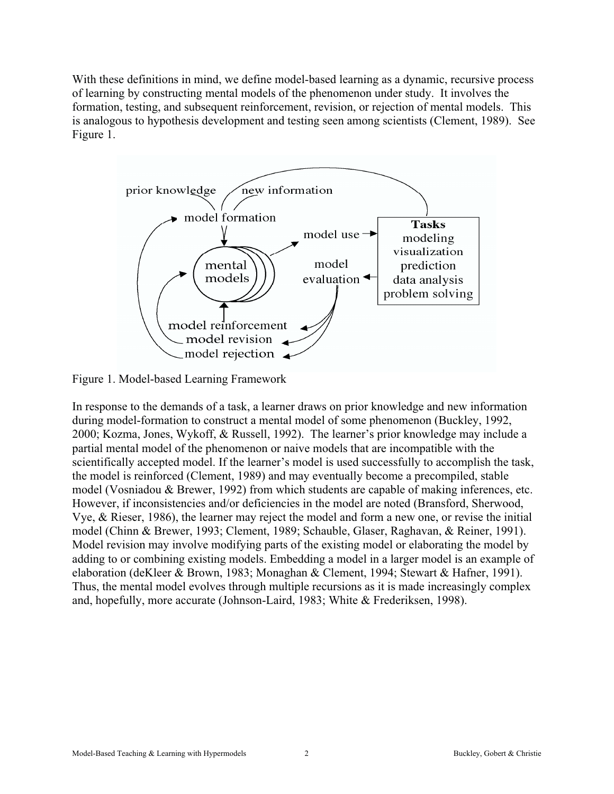With these definitions in mind, we define model-based learning as a dynamic, recursive process of learning by constructing mental models of the phenomenon under study. It involves the formation, testing, and subsequent reinforcement, revision, or rejection of mental models. This is analogous to hypothesis development and testing seen among scientists (Clement, 1989). See Figure 1.



Figure 1. Model-based Learning Framework

In response to the demands of a task, a learner draws on prior knowledge and new information during model-formation to construct a mental model of some phenomenon (Buckley, 1992, 2000; Kozma, Jones, Wykoff, & Russell, 1992). The learner's prior knowledge may include a partial mental model of the phenomenon or naive models that are incompatible with the scientifically accepted model. If the learner's model is used successfully to accomplish the task, the model is reinforced (Clement, 1989) and may eventually become a precompiled, stable model (Vosniadou & Brewer, 1992) from which students are capable of making inferences, etc. However, if inconsistencies and/or deficiencies in the model are noted (Bransford, Sherwood, Vye, & Rieser, 1986), the learner may reject the model and form a new one, or revise the initial model (Chinn & Brewer, 1993; Clement, 1989; Schauble, Glaser, Raghavan, & Reiner, 1991). Model revision may involve modifying parts of the existing model or elaborating the model by adding to or combining existing models. Embedding a model in a larger model is an example of elaboration (deKleer & Brown, 1983; Monaghan & Clement, 1994; Stewart & Hafner, 1991). Thus, the mental model evolves through multiple recursions as it is made increasingly complex and, hopefully, more accurate (Johnson-Laird, 1983; White & Frederiksen, 1998).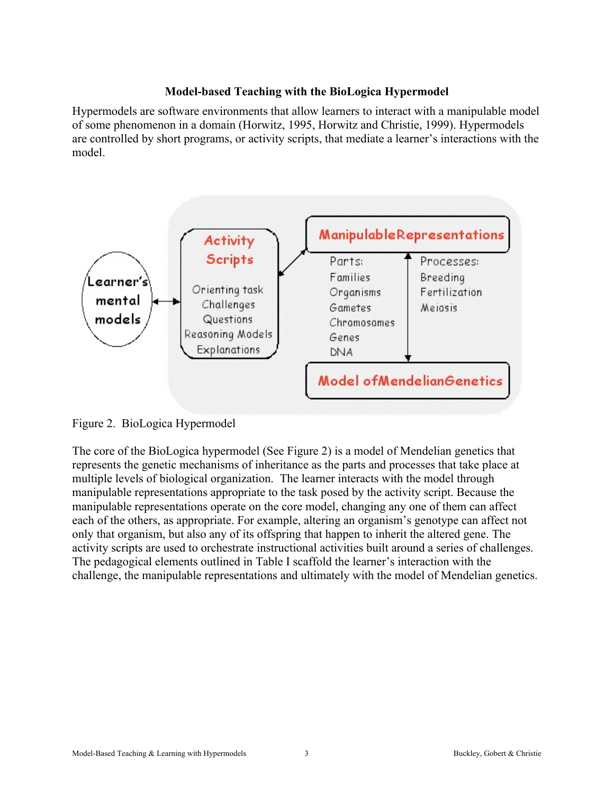# **Model-based Teaching with the BioLogica Hypermodel**

Hypermodels are software environments that allow learners to interact with a manipulable model of some phenomenon in a domain (Horwitz, 1995, Horwitz and Christie, 1999). Hypermodels are controlled by short programs, or activity scripts, that mediate a learner's interactions with the model.



Figure 2. BioLogica Hypermodel

The core of the BioLogica hypermodel (See Figure 2) is a model of Mendelian genetics that represents the genetic mechanisms of inheritance as the parts and processes that take place at multiple levels of biological organization. The learner interacts with the model through manipulable representations appropriate to the task posed by the activity script. Because the manipulable representations operate on the core model, changing any one of them can affect each of the others, as appropriate. For example, altering an organism's genotype can affect not only that organism, but also any of its offspring that happen to inherit the altered gene. The activity scripts are used to orchestrate instructional activities built around a series of challenges. The pedagogical elements outlined in Table I scaffold the learner's interaction with the challenge, the manipulable representations and ultimately with the model of Mendelian genetics.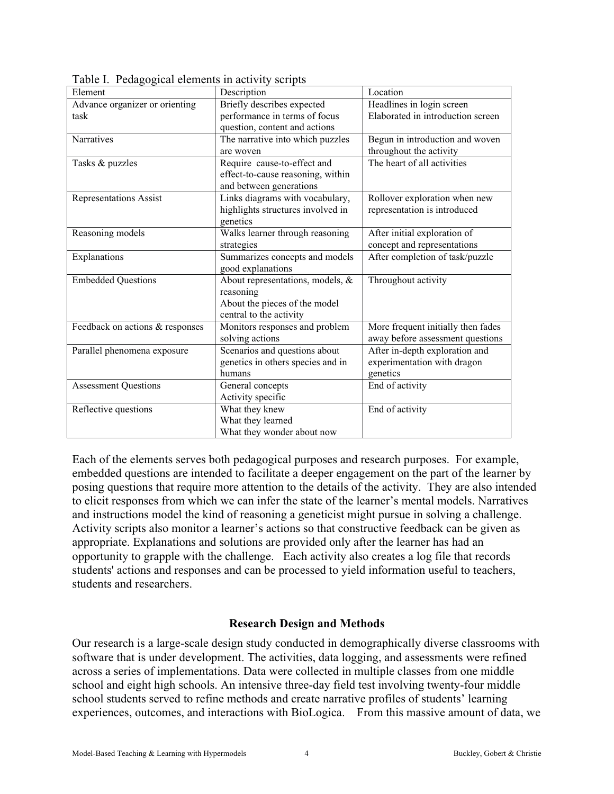| Element                         | Description                       | Location                           |
|---------------------------------|-----------------------------------|------------------------------------|
|                                 |                                   |                                    |
| Advance organizer or orienting  | Briefly describes expected        | Headlines in login screen          |
| task                            | performance in terms of focus     | Elaborated in introduction screen  |
|                                 | question, content and actions     |                                    |
| Narratives                      | The narrative into which puzzles  | Begun in introduction and woven    |
|                                 | are woven                         | throughout the activity            |
| Tasks & puzzles                 | Require cause-to-effect and       | The heart of all activities        |
|                                 | effect-to-cause reasoning, within |                                    |
|                                 | and between generations           |                                    |
| <b>Representations Assist</b>   | Links diagrams with vocabulary,   | Rollover exploration when new      |
|                                 | highlights structures involved in | representation is introduced       |
|                                 | genetics                          |                                    |
| Reasoning models                | Walks learner through reasoning   | After initial exploration of       |
|                                 | strategies                        | concept and representations        |
| Explanations                    | Summarizes concepts and models    | After completion of task/puzzle    |
|                                 | good explanations                 |                                    |
| <b>Embedded Questions</b>       | About representations, models, &  | Throughout activity                |
|                                 | reasoning                         |                                    |
|                                 |                                   |                                    |
|                                 | About the pieces of the model     |                                    |
|                                 | central to the activity           |                                    |
| Feedback on actions & responses | Monitors responses and problem    | More frequent initially then fades |
|                                 | solving actions                   | away before assessment questions   |
| Parallel phenomena exposure     | Scenarios and questions about     | After in-depth exploration and     |
|                                 | genetics in others species and in | experimentation with dragon        |
|                                 | humans                            | genetics                           |
| <b>Assessment Questions</b>     | General concepts                  | End of activity                    |
|                                 | Activity specific                 |                                    |
| Reflective questions            | What they knew                    | End of activity                    |
|                                 | What they learned                 |                                    |
|                                 | What they wonder about now        |                                    |

Table I. Pedagogical elements in activity scripts

Each of the elements serves both pedagogical purposes and research purposes. For example, embedded questions are intended to facilitate a deeper engagement on the part of the learner by posing questions that require more attention to the details of the activity. They are also intended to elicit responses from which we can infer the state of the learner's mental models. Narratives and instructions model the kind of reasoning a geneticist might pursue in solving a challenge. Activity scripts also monitor a learner's actions so that constructive feedback can be given as appropriate. Explanations and solutions are provided only after the learner has had an opportunity to grapple with the challenge. Each activity also creates a log file that records students' actions and responses and can be processed to yield information useful to teachers, students and researchers.

#### Research Design and Methods

Our research is a large-scale design study conducted in demographically diverse classrooms with software that is under development. The activities, data logging, and assessments were refined across a series of implementations. Data were collected in multiple classes from one middle school and eight high schools. An intensive three-day field test involving twenty-four middle school students served to refine methods and create narrative profiles of students' learning experiences, outcomes, and interactions with BioLogica. From this massive amount of data, we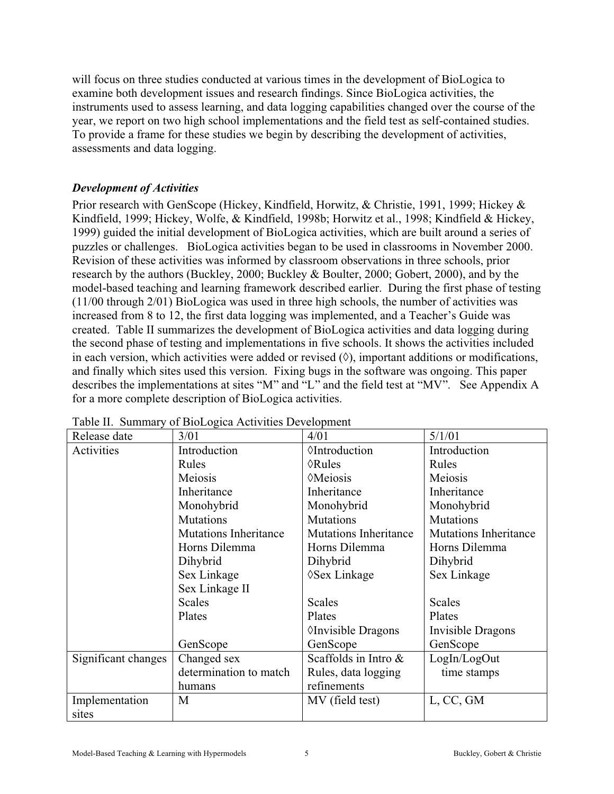will focus on three studies conducted at various times in the development of BioLogica to examine both development issues and research findings. Since BioLogica activities, the instruments used to assess learning, and data logging capabilities changed over the course of the year, we report on two high school implementations and the field test as self-contained studies. To provide a frame for these studies we begin by describing the development of activities, assessments and data logging.

### Development of Activities

Prior research with GenScope (Hickey, Kindfield, Horwitz, & Christie, 1991, 1999; Hickey & Kindfield, 1999; Hickey, Wolfe, & Kindfield, 1998b; Horwitz et al., 1998; Kindfield & Hickey, 1999) guided the initial development of BioLogica activities, which are built around a series of puzzles or challenges. BioLogica activities began to be used in classrooms in November 2000. Revision of these activities was informed by classroom observations in three schools, prior research by the authors (Buckley, 2000; Buckley & Boulter, 2000; Gobert, 2000), and by the model-based teaching and learning framework described earlier. During the first phase of testing (11/00 through 2/01) BioLogica was used in three high schools, the number of activities was increased from 8 to 12, the first data logging was implemented, and a Teacher's Guide was created. Table II summarizes the development of BioLogica activities and data logging during the second phase of testing and implementations in five schools. It shows the activities included in each version, which activities were added or revised  $(\Diamond)$ , important additions or modifications, and finally which sites used this version. Fixing bugs in the software was ongoing. This paper describes the implementations at sites "M" and "L" and the field test at "MV". See Appendix A for a more complete description of BioLogica activities.

| Release date        | 3/01                         | 4/01                         | 5/1/01                       |
|---------------------|------------------------------|------------------------------|------------------------------|
| Activities          | Introduction                 | <b>VIntroduction</b>         | Introduction                 |
|                     | Rules                        | $\Diamond$ Rules             | Rules                        |
|                     | Meiosis                      | <b>Meiosis</b>               | Meiosis                      |
|                     | Inheritance                  | Inheritance                  | Inheritance                  |
|                     | Monohybrid                   | Monohybrid                   | Monohybrid                   |
|                     | <b>Mutations</b>             | <b>Mutations</b>             | <b>Mutations</b>             |
|                     | <b>Mutations Inheritance</b> | <b>Mutations Inheritance</b> | <b>Mutations Inheritance</b> |
|                     | Horns Dilemma                | Horns Dilemma                | Horns Dilemma                |
|                     | Dihybrid                     | Dihybrid                     | Dihybrid                     |
|                     | Sex Linkage                  | <b>♦Sex Linkage</b>          | Sex Linkage                  |
|                     | Sex Linkage II               |                              |                              |
|                     | <b>Scales</b>                | <b>Scales</b>                | <b>Scales</b>                |
|                     | Plates                       | Plates                       | Plates                       |
|                     |                              | <b>VInvisible Dragons</b>    | Invisible Dragons            |
|                     | GenScope                     | GenScope                     | GenScope                     |
| Significant changes | Changed sex                  | Scaffolds in Intro &         | LogIn/LogOut                 |
|                     | determination to match       | Rules, data logging          | time stamps                  |
|                     | humans                       | refinements                  |                              |
| Implementation      | M                            | MV (field test)              | L, CC, GM                    |
| sites               |                              |                              |                              |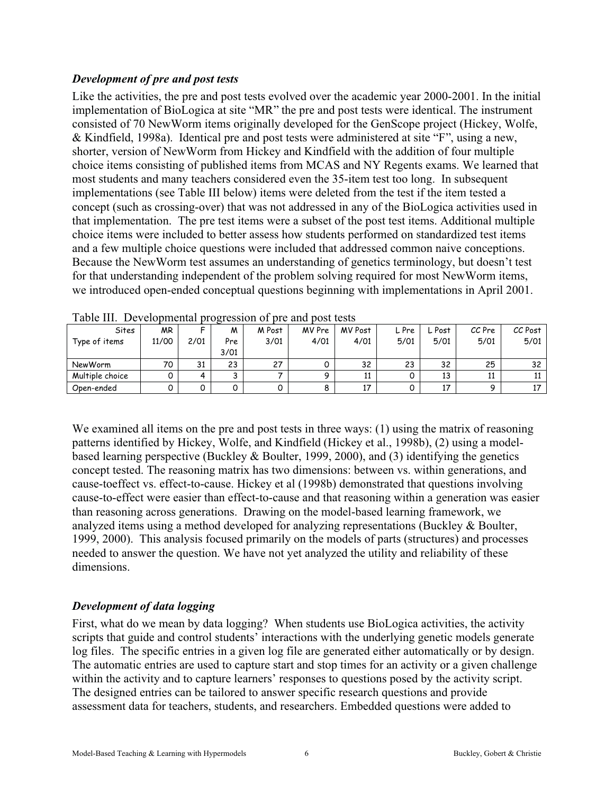### Development of pre and post tests

Like the activities, the pre and post tests evolved over the academic year 2000-2001. In the initial implementation of BioLogica at site "MR" the pre and post tests were identical. The instrument consisted of 70 NewWorm items originally developed for the GenScope project (Hickey, Wolfe, & Kindfield, 1998a). Identical pre and post tests were administered at site "F", using a new, shorter, version of NewWorm from Hickey and Kindfield with the addition of four multiple choice items consisting of published items from MCAS and NY Regents exams. We learned that most students and many teachers considered even the 35-item test too long. In subsequent implementations (see Table III below) items were deleted from the test if the item tested a concept (such as crossing-over) that was not addressed in any of the BioLogica activities used in that implementation. The pre test items were a subset of the post test items. Additional multiple choice items were included to better assess how students performed on standardized test items and a few multiple choice questions were included that addressed common naive conceptions. Because the NewWorm test assumes an understanding of genetics terminology, but doesn't test for that understanding independent of the problem solving required for most NewWorm items, we introduced open-ended conceptual questions beginning with implementations in April 2001.

| Sites           | <b>MR</b> |      | M        | M Post | MV Pre | MV Post | L Pre | . Post | CC Pre | CC Post |
|-----------------|-----------|------|----------|--------|--------|---------|-------|--------|--------|---------|
| Type of items   | 11/00     | 2/01 | Pre      | 3/01   | 4/01   | 4/01    | 5/01  | 5/01   | 5/01   | 5/01    |
|                 |           |      | 3/01     |        |        |         |       |        |        |         |
| <b>NewWorm</b>  | 70        | 31   | 23       | 27     |        | 32      | 23    | 32     | 25     | 32      |
| Multiple choice |           |      | <b>C</b> |        |        | 11      |       | 13     | 11     |         |
| Open-ended      |           |      |          |        |        | 17      |       | 17     | ٥      |         |

| Table III. Developmental progression of pre and post tests |  |  |
|------------------------------------------------------------|--|--|
|------------------------------------------------------------|--|--|

We examined all items on the pre and post tests in three ways: (1) using the matrix of reasoning patterns identified by Hickey, Wolfe, and Kindfield (Hickey et al., 1998b), (2) using a modelbased learning perspective (Buckley & Boulter, 1999, 2000), and (3) identifying the genetics concept tested. The reasoning matrix has two dimensions: between vs. within generations, and cause-toeffect vs. effect-to-cause. Hickey et al (1998b) demonstrated that questions involving cause-to-effect were easier than effect-to-cause and that reasoning within a generation was easier than reasoning across generations. Drawing on the model-based learning framework, we analyzed items using a method developed for analyzing representations (Buckley & Boulter, 1999, 2000). This analysis focused primarily on the models of parts (structures) and processes needed to answer the question. We have not yet analyzed the utility and reliability of these dimensions.

#### Development of data logging

First, what do we mean by data logging? When students use BioLogica activities, the activity scripts that guide and control students' interactions with the underlying genetic models generate log files. The specific entries in a given log file are generated either automatically or by design. The automatic entries are used to capture start and stop times for an activity or a given challenge within the activity and to capture learners' responses to questions posed by the activity script. The designed entries can be tailored to answer specific research questions and provide assessment data for teachers, students, and researchers. Embedded questions were added to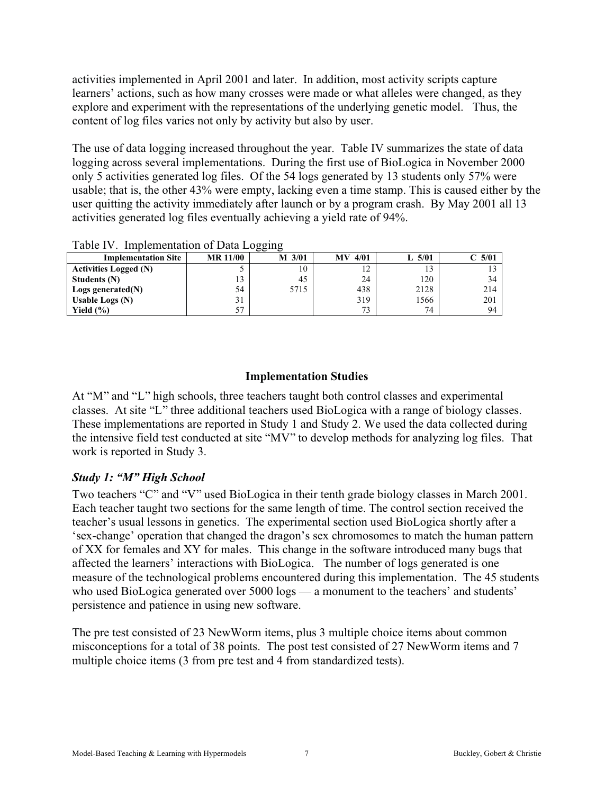activities implemented in April 2001 and later. In addition, most activity scripts capture learners' actions, such as how many crosses were made or what alleles were changed, as they explore and experiment with the representations of the underlying genetic model. Thus, the content of log files varies not only by activity but also by user.

The use of data logging increased throughout the year. Table IV summarizes the state of data logging across several implementations. During the first use of BioLogica in November 2000 only 5 activities generated log files. Of the 54 logs generated by 13 students only 57% were usable; that is, the other 43% were empty, lacking even a time stamp. This is caused either by the user quitting the activity immediately after launch or by a program crash. By May 2001 all 13 activities generated log files eventually achieving a yield rate of 94%.

| <b>Implementation Site</b>   | <b>MR 11/00</b> | -- -<br>M 3/01 | 4/01<br>МV | $L$ 5/01 | $\degree$ 5/01 |
|------------------------------|-----------------|----------------|------------|----------|----------------|
| <b>Activities Logged (N)</b> |                 | 10             | ∸          | 13       |                |
| Students (N)                 | 12              | 45             | 24         | 120      | 34             |
| Logs generated $(N)$         | 54              | 5715           | 438        | 2128     | 214            |
| Usable Logs $(N)$            | 31              |                | 319        | 1566     | 201            |
| Yield $(\% )$                | 57              |                | 72         | 74       | 94             |

Table IV. Implementation of Data Logging

### Implementation Studies

At "M" and "L" high schools, three teachers taught both control classes and experimental classes. At site "L" three additional teachers used BioLogica with a range of biology classes. These implementations are reported in Study 1 and Study 2. We used the data collected during the intensive field test conducted at site "MV" to develop methods for analyzing log files. That work is reported in Study 3.

# Study 1: "M" High School

Two teachers "C" and "V" used BioLogica in their tenth grade biology classes in March 2001. Each teacher taught two sections for the same length of time. The control section received the teacher's usual lessons in genetics. The experimental section used BioLogica shortly after a 'sex-change' operation that changed the dragon's sex chromosomes to match the human pattern of XX for females and XY for males. This change in the software introduced many bugs that affected the learners' interactions with BioLogica. The number of logs generated is one measure of the technological problems encountered during this implementation. The 45 students who used BioLogica generated over 5000 logs — a monument to the teachers' and students' persistence and patience in using new software.

The pre test consisted of 23 NewWorm items, plus 3 multiple choice items about common misconceptions for a total of 38 points. The post test consisted of 27 NewWorm items and 7 multiple choice items (3 from pre test and 4 from standardized tests).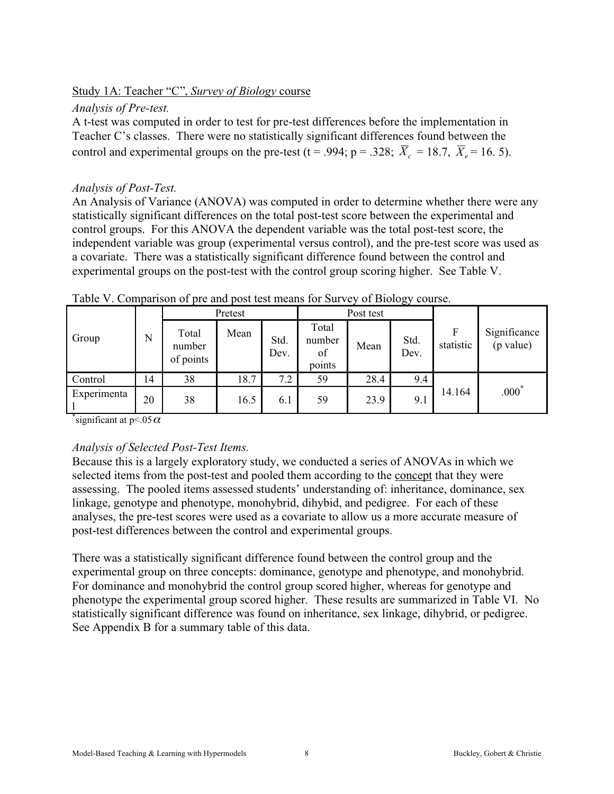### Study 1A: Teacher "C", Survey of Biology course

### Analysis of Pre-test.

A t-test was computed in order to test for pre-test differences before the implementation in Teacher C's classes. There were no statistically significant differences found between the control and experimental groups on the pre-test (t = .994; p = .328;  $\overline{X}_c = 18.7$ ,  $\overline{X}_s = 16.5$ ).

### Analysis of Post-Test.

An Analysis of Variance (ANOVA) was computed in order to determine whether there were any statistically significant differences on the total post-test score between the experimental and control groups. For this ANOVA the dependent variable was the total post-test score, the independent variable was group (experimental versus control), and the pre-test score was used as a covariate. There was a statistically significant difference found between the control and experimental groups on the post-test with the control group scoring higher. See Table V.

| - 57 - 77   |    |                              |      |              |                                 |      |              |                |                           |
|-------------|----|------------------------------|------|--------------|---------------------------------|------|--------------|----------------|---------------------------|
|             |    | Pretest                      |      |              | Post test                       |      |              |                |                           |
| Group       | N  | Total<br>number<br>of points | Mean | Std.<br>Dev. | Total<br>number<br>of<br>points | Mean | Std.<br>Dev. | F<br>statistic | Significance<br>(p value) |
| Control     | 14 | 38                           | 18.7 | 7.2          | 59                              | 28.4 | 9.4          |                |                           |
| Experimenta | 20 | 38                           | 16.5 | 6.1          | 59                              | 23.9 | 9.1          | 14.164         | $.000*$                   |

Table V. Comparison of pre and post test means for Survey of Biology course.

\*significant at p<.05 $\alpha$ 

# Analysis of Selected Post-Test Items.

Because this is a largely exploratory study, we conducted a series of ANOVAs in which we selected items from the post-test and pooled them according to the concept that they were assessing. The pooled items assessed students' understanding of: inheritance, dominance, sex linkage, genotype and phenotype, monohybrid, dihybid, and pedigree. For each of these analyses, the pre-test scores were used as a covariate to allow us a more accurate measure of post-test differences between the control and experimental groups.

There was a statistically significant difference found between the control group and the experimental group on three concepts: dominance, genotype and phenotype, and monohybrid. For dominance and monohybrid the control group scored higher, whereas for genotype and phenotype the experimental group scored higher. These results are summarized in Table VI. No statistically significant difference was found on inheritance, sex linkage, dihybrid, or pedigree. See Appendix B for a summary table of this data.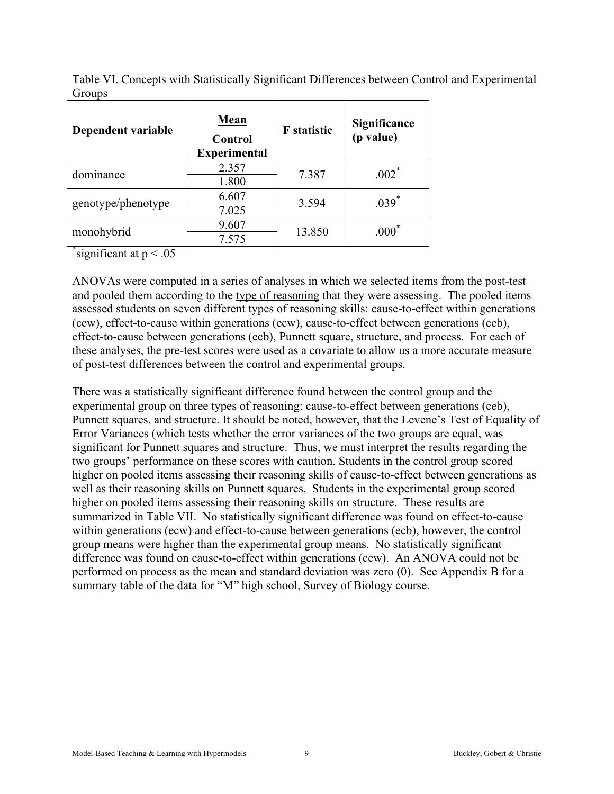| Dependent variable | Mean<br>Control<br><b>Experimental</b> | <b>F</b> statistic | Significance<br>(p value) |  |
|--------------------|----------------------------------------|--------------------|---------------------------|--|
| dominance          | 2.357                                  | 7.387              | $.002*$                   |  |
|                    | 1.800                                  |                    |                           |  |
| genotype/phenotype | 6.607                                  | 3.594              | $.039*$                   |  |
|                    | 7.025                                  |                    |                           |  |
| monohybrid         | 9.607                                  | 13.850             | $.000*$                   |  |
| $\ast$             | 7.575                                  |                    |                           |  |

Table VI. Concepts with Statistically Significant Differences between Control and Experimental Groups

\*significant at  $p < .05$ 

ANOVAs were computed in a series of analyses in which we selected items from the post-test and pooled them according to the type of reasoning that they were assessing. The pooled items assessed students on seven different types of reasoning skills: cause-to-effect within generations (cew), effect-to-cause within generations (ecw), cause-to-effect between generations (ceb), effect-to-cause between generations (ecb), Punnett square, structure, and process. For each of these analyses, the pre-test scores were used as a covariate to allow us a more accurate measure of post-test differences between the control and experimental groups.

There was a statistically significant difference found between the control group and the experimental group on three types of reasoning: cause-to-effect between generations (ceb), Punnett squares, and structure. It should be noted, however, that the Levene's Test of Equality of Error Variances (which tests whether the error variances of the two groups are equal, was significant for Punnett squares and structure. Thus, we must interpret the results regarding the two groups' performance on these scores with caution. Students in the control group scored higher on pooled items assessing their reasoning skills of cause-to-effect between generations as well as their reasoning skills on Punnett squares. Students in the experimental group scored higher on pooled items assessing their reasoning skills on structure. These results are summarized in Table VII. No statistically significant difference was found on effect-to-cause within generations (ecw) and effect-to-cause between generations (ecb), however, the control group means were higher than the experimental group means. No statistically significant difference was found on cause-to-effect within generations (cew). An ANOVA could not be performed on process as the mean and standard deviation was zero (0). See Appendix B for a summary table of the data for "M" high school, Survey of Biology course.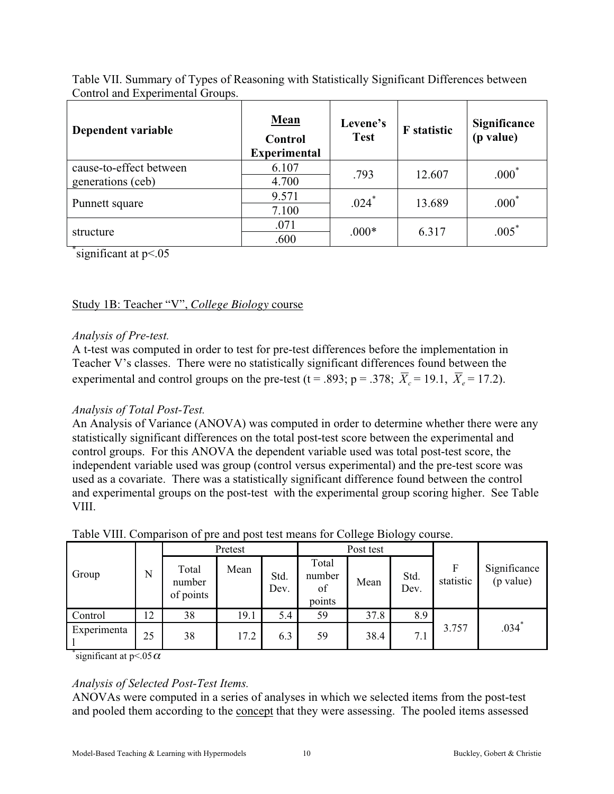| Dependent variable                           | <b>Mean</b><br><b>Control</b><br><b>Experimental</b> | Levene's<br><b>Test</b> | <b>F</b> statistic | Significance<br>(p value) |  |
|----------------------------------------------|------------------------------------------------------|-------------------------|--------------------|---------------------------|--|
| cause-to-effect between<br>generations (ceb) | 6.107<br>4.700                                       | .793                    | 12.607             | $.000*$                   |  |
| Punnett square                               | 9.571                                                | $.024*$                 | 13.689             | $.000*$                   |  |
| structure                                    | 7.100<br>.071                                        | $.000*$                 | 6.317              | $.005*$                   |  |
|                                              | .600                                                 |                         |                    |                           |  |

Table VII. Summary of Types of Reasoning with Statistically Significant Differences between Control and Experimental Groups.

\*significant at p<.05

### Study 1B: Teacher "V", College Biology course

#### Analysis of Pre-test.

A t-test was computed in order to test for pre-test differences before the implementation in Teacher V's classes. There were no statistically significant differences found between the experimental and control groups on the pre-test (t = .893; p = .378;  $\overline{X}_c = 19.1$ ,  $\overline{X}_s = 17.2$ ).

# Analysis of Total Post-Test.

An Analysis of Variance (ANOVA) was computed in order to determine whether there were any statistically significant differences on the total post-test score between the experimental and control groups. For this ANOVA the dependent variable used was total post-test score, the independent variable used was group (control versus experimental) and the pre-test score was used as a covariate. There was a statistically significant difference found between the control and experimental groups on the post-test with the experimental group scoring higher. See Table VIII.

|             |    | Pretest                      |      |              | Post test                       |      |              |                |                           |
|-------------|----|------------------------------|------|--------------|---------------------------------|------|--------------|----------------|---------------------------|
| Group       | N  | Total<br>number<br>of points | Mean | Std.<br>Dev. | Total<br>number<br>of<br>points | Mean | Std.<br>Dev. | F<br>statistic | Significance<br>(p value) |
| Control     | 12 | 38                           | 19.1 | 5.4          | 59                              | 37.8 | 8.9          |                |                           |
| Experimenta | 25 | 38                           | 17.2 | 6.3          | 59                              | 38.4 | 7.1          | 3.757          | $.034*$                   |

Table VIII. Comparison of pre and post test means for College Biology course.

\*significant at p<.05 $\alpha$ 

# Analysis of Selected Post-Test Items.

ANOVAs were computed in a series of analyses in which we selected items from the post-test and pooled them according to the concept that they were assessing. The pooled items assessed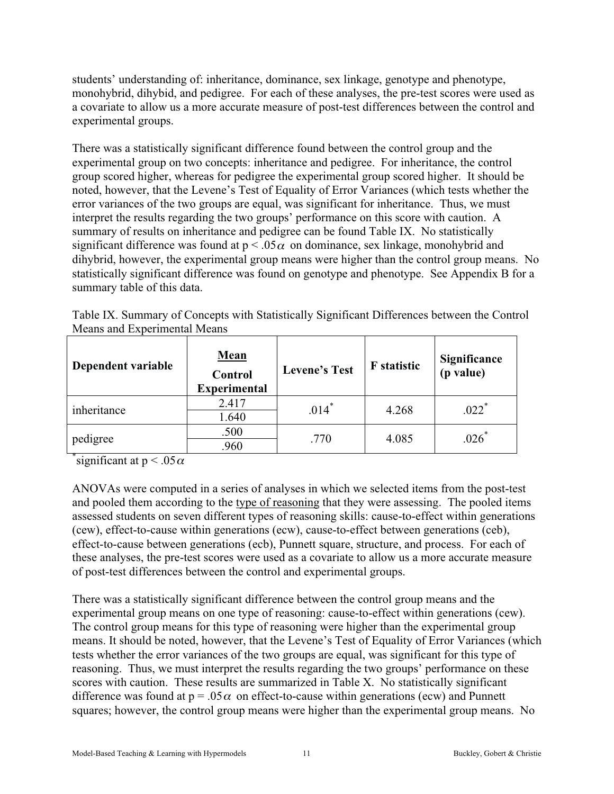students' understanding of: inheritance, dominance, sex linkage, genotype and phenotype, monohybrid, dihybid, and pedigree. For each of these analyses, the pre-test scores were used as a covariate to allow us a more accurate measure of post-test differences between the control and experimental groups.

There was a statistically significant difference found between the control group and the experimental group on two concepts: inheritance and pedigree. For inheritance, the control group scored higher, whereas for pedigree the experimental group scored higher. It should be noted, however, that the Levene's Test of Equality of Error Variances (which tests whether the error variances of the two groups are equal, was significant for inheritance. Thus, we must interpret the results regarding the two groups' performance on this score with caution. A summary of results on inheritance and pedigree can be found Table IX. No statistically significant difference was found at  $p < 0.05\alpha$  on dominance, sex linkage, monohybrid and dihybrid, however, the experimental group means were higher than the control group means. No statistically significant difference was found on genotype and phenotype. See Appendix B for a summary table of this data.

| Table IX. Summary of Concepts with Statistically Significant Differences between the Control |  |  |  |
|----------------------------------------------------------------------------------------------|--|--|--|
| Means and Experimental Means                                                                 |  |  |  |

| Dependent variable | <b>Mean</b><br>Control<br><b>Experimental</b> | <b>Levene's Test</b> | <b>F</b> statistic | Significance<br>(p value) |  |
|--------------------|-----------------------------------------------|----------------------|--------------------|---------------------------|--|
| inheritance        | 2.417                                         | $.014*$              | 4.268              | $.022*$                   |  |
|                    | 1.640                                         |                      |                    |                           |  |
|                    | .500                                          | .770                 |                    | $.026*$                   |  |
| pedigree           | .960                                          |                      | 4.085              |                           |  |

\*significant at  $p < .05\alpha$ 

ANOVAs were computed in a series of analyses in which we selected items from the post-test and pooled them according to the type of reasoning that they were assessing. The pooled items assessed students on seven different types of reasoning skills: cause-to-effect within generations (cew), effect-to-cause within generations (ecw), cause-to-effect between generations (ceb), effect-to-cause between generations (ecb), Punnett square, structure, and process. For each of these analyses, the pre-test scores were used as a covariate to allow us a more accurate measure of post-test differences between the control and experimental groups.

There was a statistically significant difference between the control group means and the experimental group means on one type of reasoning: cause-to-effect within generations (cew). The control group means for this type of reasoning were higher than the experimental group means. It should be noted, however, that the Levene's Test of Equality of Error Variances (which tests whether the error variances of the two groups are equal, was significant for this type of reasoning. Thus, we must interpret the results regarding the two groups' performance on these scores with caution. These results are summarized in Table X. No statistically significant difference was found at  $p = 0.05\alpha$  on effect-to-cause within generations (ecw) and Punnett squares; however, the control group means were higher than the experimental group means. No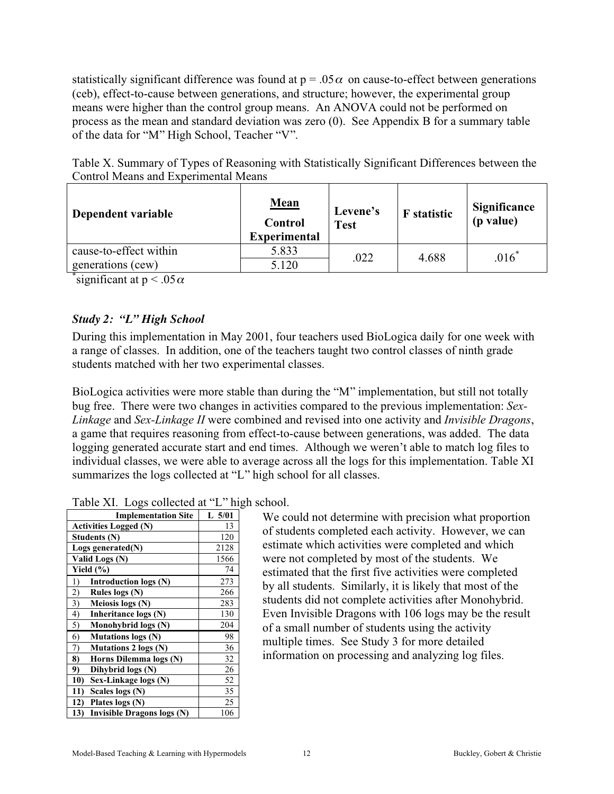statistically significant difference was found at  $p = 0.05\alpha$  on cause-to-effect between generations (ceb), effect-to-cause between generations, and structure; however, the experimental group means were higher than the control group means. An ANOVA could not be performed on process as the mean and standard deviation was zero (0). See Appendix B for a summary table of the data for "M" High School, Teacher "V".

| Dependent variable     | <b>Mean</b><br>Control<br><b>Experimental</b> | Levene's<br><b>Test</b> | <b>F</b> statistic | Significance<br>(p value) |
|------------------------|-----------------------------------------------|-------------------------|--------------------|---------------------------|
| cause-to-effect within | 5.833                                         | .022                    | 4.688              | $.016^*$                  |
| generations (cew)      | 5.120                                         |                         |                    |                           |

Table X. Summary of Types of Reasoning with Statistically Significant Differences between the Control Means and Experimental Means

\*significant at  $p < .05\alpha$ 

# Study 2: "L" High School

During this implementation in May 2001, four teachers used BioLogica daily for one week with a range of classes. In addition, one of the teachers taught two control classes of ninth grade students matched with her two experimental classes.

BioLogica activities were more stable than during the "M" implementation, but still not totally bug free. There were two changes in activities compared to the previous implementation: Sex-Linkage and Sex-Linkage II were combined and revised into one activity and Invisible Dragons, a game that requires reasoning from effect-to-cause between generations, was added. The data logging generated accurate start and end times. Although we weren't able to match log files to individual classes, we were able to average across all the logs for this implementation. Table XI summarizes the logs collected at "L" high school for all classes.

| <b>Implementation Site</b>               | $L$ 5/01 |
|------------------------------------------|----------|
| <b>Activities Logged (N)</b>             | 13       |
| <b>Students (N)</b>                      | 120      |
| Logs generated $(N)$                     | 2128     |
| Valid Logs (N)                           | 1566     |
| Yield $(\% )$                            | 74       |
| Introduction logs (N)<br>1)              | 273      |
| 2)<br><b>Rules logs (N)</b>              | 266      |
| 3)<br>Meiosis logs (N)                   | 283      |
| 4)<br>Inheritance logs (N)               | 130      |
| 5)<br>Monohybrid logs (N)                | 204      |
| 6)<br><b>Mutations logs (N)</b>          | 98       |
| 7)<br><b>Mutations 2 logs (N)</b>        | 36       |
| 8)<br>Horns Dilemma logs (N)             | 32       |
| 9)<br>Dihybrid logs (N)                  | 26       |
| 10)<br>Sex-Linkage logs (N)              | 52       |
| 11)<br>Scales logs (N)                   | 35       |
| 12)<br>Plates logs (N)                   | 25       |
| 13)<br><b>Invisible Dragons logs (N)</b> | 106      |

Table XI. Logs collected at "L" high school.

We could not determine with precision what proportion of students completed each activity. However, we can estimate which activities were completed and which were not completed by most of the students. We estimated that the first five activities were completed by all students. Similarly, it is likely that most of the students did not complete activities after Monohybrid. Even Invisible Dragons with 106 logs may be the result of a small number of students using the activity multiple times. See Study 3 for more detailed information on processing and analyzing log files.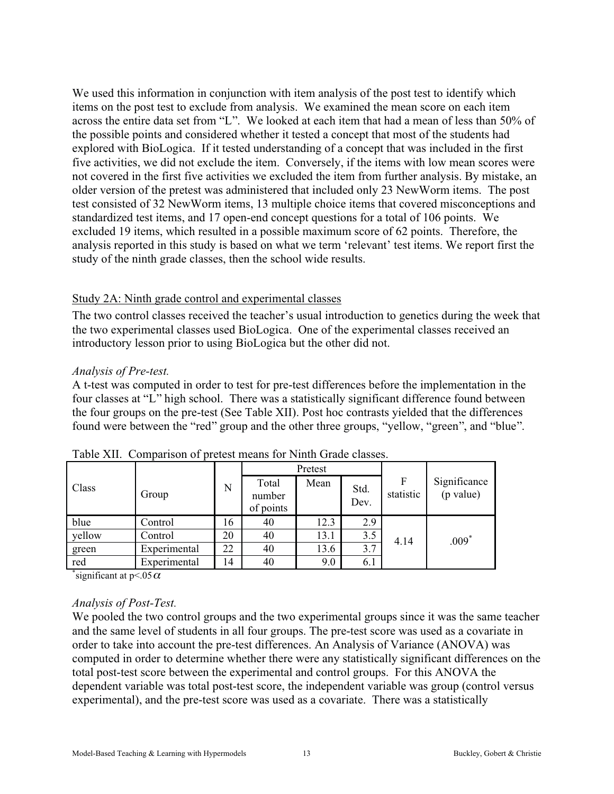We used this information in conjunction with item analysis of the post test to identify which items on the post test to exclude from analysis. We examined the mean score on each item across the entire data set from "L". We looked at each item that had a mean of less than 50% of the possible points and considered whether it tested a concept that most of the students had explored with BioLogica. If it tested understanding of a concept that was included in the first five activities, we did not exclude the item. Conversely, if the items with low mean scores were not covered in the first five activities we excluded the item from further analysis. By mistake, an older version of the pretest was administered that included only 23 NewWorm items. The post test consisted of 32 NewWorm items, 13 multiple choice items that covered misconceptions and standardized test items, and 17 open-end concept questions for a total of 106 points. We excluded 19 items, which resulted in a possible maximum score of 62 points. Therefore, the analysis reported in this study is based on what we term 'relevant' test items. We report first the study of the ninth grade classes, then the school wide results.

#### Study 2A: Ninth grade control and experimental classes

The two control classes received the teacher's usual introduction to genetics during the week that the two experimental classes used BioLogica. One of the experimental classes received an introductory lesson prior to using BioLogica but the other did not.

#### Analysis of Pre-test.

A t-test was computed in order to test for pre-test differences before the implementation in the four classes at "L" high school. There was a statistically significant difference found between the four groups on the pre-test (See Table XII). Post hoc contrasts yielded that the differences found were between the "red" group and the other three groups, "yellow, "green", and "blue".

|        |              |    |                              | Pretest |              |                |                           |
|--------|--------------|----|------------------------------|---------|--------------|----------------|---------------------------|
| Class  | Group        | N  | Total<br>number<br>of points | Mean    | Std.<br>Dev. | F<br>statistic | Significance<br>(p value) |
| blue   | Control      | 16 | 40                           | 12.3    | 2.9          |                |                           |
| yellow | Control      | 20 | 40                           | 13.1    | 3.5          | 4.14           | $.009*$                   |
| green  | Experimental | 22 | 40                           | 13.6    | 3.7          |                |                           |
| red    | Experimental | 14 | 40                           | 9.0     | 6.1          |                |                           |

|  | Table XII. Comparison of pretest means for Ninth Grade classes. |  |  |  |  |  |
|--|-----------------------------------------------------------------|--|--|--|--|--|
|--|-----------------------------------------------------------------|--|--|--|--|--|

\*significant at p<.05 $\alpha$ 

# Analysis of Post-Test.

We pooled the two control groups and the two experimental groups since it was the same teacher and the same level of students in all four groups. The pre-test score was used as a covariate in order to take into account the pre-test differences. An Analysis of Variance (ANOVA) was computed in order to determine whether there were any statistically significant differences on the total post-test score between the experimental and control groups. For this ANOVA the dependent variable was total post-test score, the independent variable was group (control versus experimental), and the pre-test score was used as a covariate. There was a statistically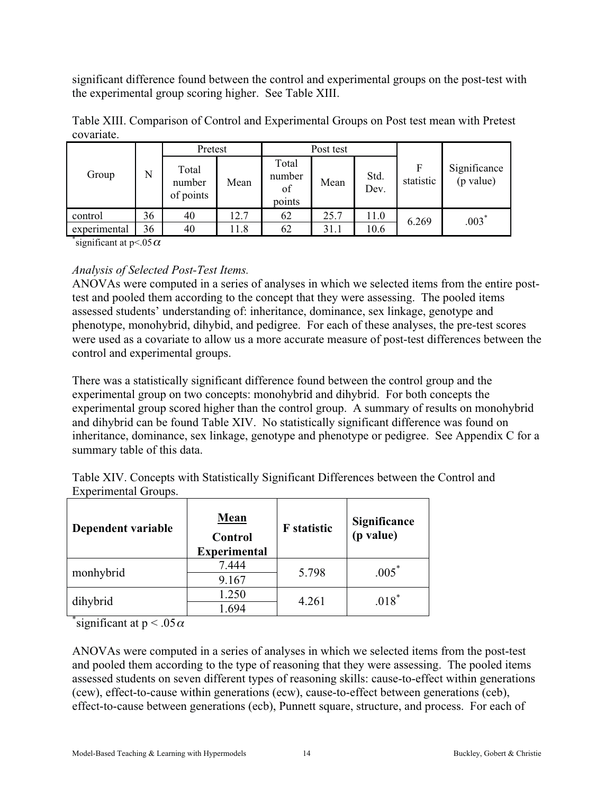significant difference found between the control and experimental groups on the post-test with the experimental group scoring higher. See Table XIII.

|              |    | Pretest                      |      | Post test                       |      |              |                |                           |  |
|--------------|----|------------------------------|------|---------------------------------|------|--------------|----------------|---------------------------|--|
| Group        | N  | Total<br>number<br>of points | Mean | Total<br>number<br>of<br>points | Mean | Std.<br>Dev. | F<br>statistic | Significance<br>(p value) |  |
| control      | 36 | 40                           | 12.7 | 62                              | 25.7 | 11.0         | 6.269          | $.003*$                   |  |
| experimental | 36 | 40                           | 11.8 | 62                              | 31.1 | 10.6         |                |                           |  |
|              |    |                              |      |                                 |      |              |                |                           |  |

Table XIII. Comparison of Control and Experimental Groups on Post test mean with Pretest covariate.

\*significant at p<.05 $\alpha$ 

# Analysis of Selected Post-Test Items.

ANOVAs were computed in a series of analyses in which we selected items from the entire posttest and pooled them according to the concept that they were assessing. The pooled items assessed students' understanding of: inheritance, dominance, sex linkage, genotype and phenotype, monohybrid, dihybid, and pedigree. For each of these analyses, the pre-test scores were used as a covariate to allow us a more accurate measure of post-test differences between the control and experimental groups.

There was a statistically significant difference found between the control group and the experimental group on two concepts: monohybrid and dihybrid. For both concepts the experimental group scored higher than the control group. A summary of results on monohybrid and dihybrid can be found Table XIV. No statistically significant difference was found on inheritance, dominance, sex linkage, genotype and phenotype or pedigree. See Appendix C for a summary table of this data.

Table XIV. Concepts with Statistically Significant Differences between the Control and Experimental Groups.

| Dependent variable | <b>Mean</b><br>Control<br><b>Experimental</b> | <b>F</b> statistic | Significance<br>(p value) |  |
|--------------------|-----------------------------------------------|--------------------|---------------------------|--|
| monhybrid          | 7.444                                         |                    | $.005*$                   |  |
|                    | 9.167                                         | 5.798<br>4.261     |                           |  |
| dihybrid           | 1.250                                         |                    | $.018*$                   |  |
|                    | 1.694                                         |                    |                           |  |

\*significant at  $p < .05\alpha$ 

ANOVAs were computed in a series of analyses in which we selected items from the post-test and pooled them according to the type of reasoning that they were assessing. The pooled items assessed students on seven different types of reasoning skills: cause-to-effect within generations (cew), effect-to-cause within generations (ecw), cause-to-effect between generations (ceb), effect-to-cause between generations (ecb), Punnett square, structure, and process. For each of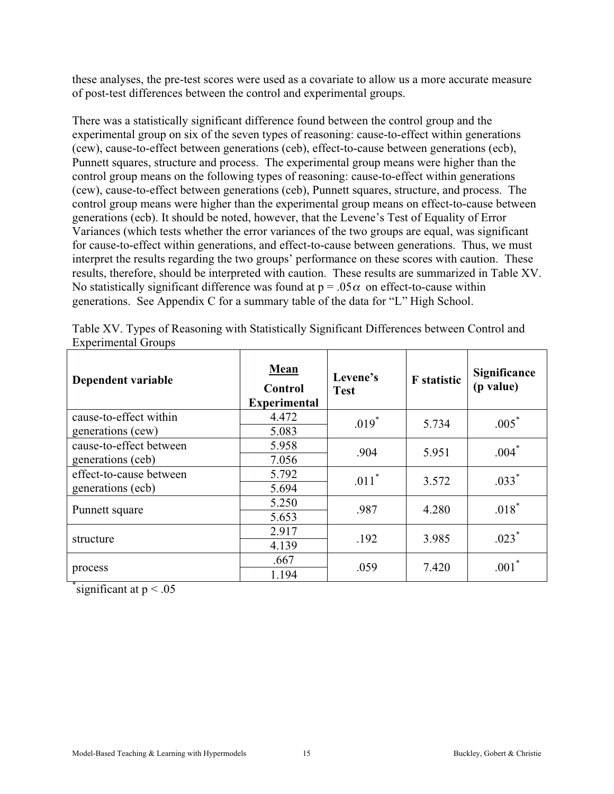these analyses, the pre-test scores were used as a covariate to allow us a more accurate measure of post-test differences between the control and experimental groups.

There was a statistically significant difference found between the control group and the experimental group on six of the seven types of reasoning: cause-to-effect within generations (cew), cause-to-effect between generations (ceb), effect-to-cause between generations (ecb), Punnett squares, structure and process. The experimental group means were higher than the control group means on the following types of reasoning: cause-to-effect within generations (cew), cause-to-effect between generations (ceb), Punnett squares, structure, and process. The control group means were higher than the experimental group means on effect-to-cause between generations (ecb). It should be noted, however, that the Levene's Test of Equality of Error Variances (which tests whether the error variances of the two groups are equal, was significant for cause-to-effect within generations, and effect-to-cause between generations. Thus, we must interpret the results regarding the two groups' performance on these scores with caution. These results, therefore, should be interpreted with caution. These results are summarized in Table XV. No statistically significant difference was found at  $p = .05\alpha$  on effect-to-cause within generations. See Appendix C for a summary table of the data for "L" High School.

| Dependent variable      | Mean<br>Control<br><b>Experimental</b> | Levene's<br><b>Test</b> | <b>F</b> statistic | Significance<br>(p value) |
|-------------------------|----------------------------------------|-------------------------|--------------------|---------------------------|
| cause-to-effect within  | 4.472                                  | $.019*$                 | 5.734              | $.005*$                   |
| generations (cew)       | 5.083                                  |                         |                    |                           |
| cause-to-effect between | 5.958                                  | .904                    | 5.951              | $.004*$                   |
| generations (ceb)       | 7.056                                  |                         |                    |                           |
| effect-to-cause between | 5.792                                  | $.011*$                 | 3.572              | $.033*$                   |
| generations (ecb)       | 5.694                                  |                         |                    |                           |
|                         | 5.250                                  | .987                    | 4.280              | $.018*$                   |
| Punnett square          | 5.653                                  |                         |                    |                           |
|                         | 2.917                                  | .192                    | 3.985              | $.023*$                   |
| structure               | 4.139                                  |                         |                    |                           |
|                         | .667                                   | .059                    | 7.420              | $.001*$                   |
| process                 | 1.194                                  |                         |                    |                           |

Table XV. Types of Reasoning with Statistically Significant Differences between Control and Experimental Groups

\*significant at  $p < .05$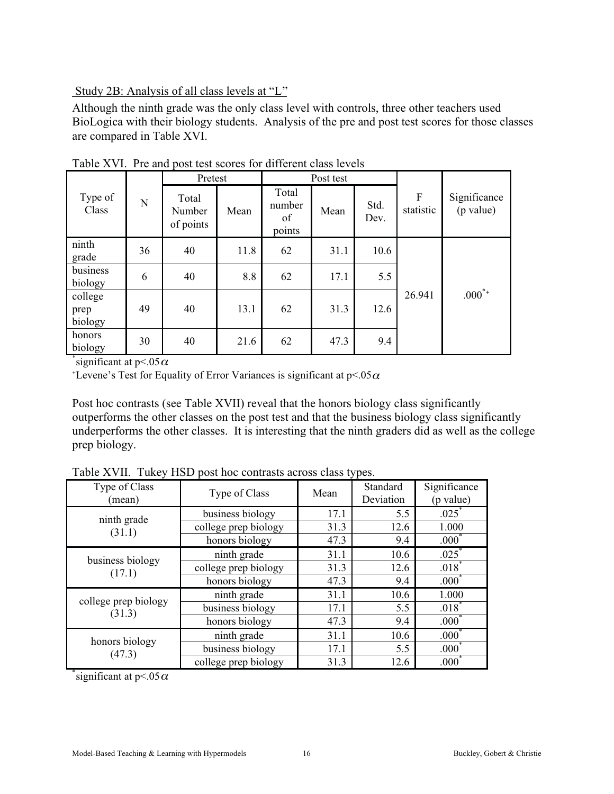### Study 2B: Analysis of all class levels at "L"

Although the ninth grade was the only class level with controls, three other teachers used BioLogica with their biology students. Analysis of the pre and post test scores for those classes are compared in Table XVI.

|                            |    | Pretest                      |      | Post test                       |      |              |                |                           |
|----------------------------|----|------------------------------|------|---------------------------------|------|--------------|----------------|---------------------------|
| Type of<br>Class           | N  | Total<br>Number<br>of points | Mean | Total<br>number<br>of<br>points | Mean | Std.<br>Dev. | F<br>statistic | Significance<br>(p value) |
| ninth<br>grade             | 36 | 40                           | 11.8 | 62                              | 31.1 | 10.6         |                |                           |
| business<br>biology        | 6  | 40                           | 8.8  | 62                              | 17.1 | 5.5          |                |                           |
| college<br>prep<br>biology | 49 | 40                           | 13.1 | 62                              | 31.3 | 12.6         | 26.941         | $.000^{*+}$               |
| honors<br>biology          | 30 | 40                           | 21.6 | 62                              | 47.3 | 9.4          |                |                           |

Table XVI. Pre and post test scores for different class levels

\*significant at p<.05 $\alpha$ 

\*Levene's Test for Equality of Error Variances is significant at  $p<.05\alpha$ 

Post hoc contrasts (see Table XVII) reveal that the honors biology class significantly outperforms the other classes on the post test and that the business biology class significantly underperforms the other classes. It is interesting that the ninth graders did as well as the college prep biology.

| Type of Class<br>(mean)                                      | Type of Class                                                                                                                  | Mean | Standard<br>Deviation | Significance<br>(p value) |
|--------------------------------------------------------------|--------------------------------------------------------------------------------------------------------------------------------|------|-----------------------|---------------------------|
| ninth grade                                                  | business biology                                                                                                               | 17.1 | 5.5                   | $.025*$                   |
|                                                              | college prep biology                                                                                                           | 31.3 | 12.6                  | 1.000                     |
|                                                              | honors biology                                                                                                                 | 47.3 | 9.4                   | $.000^$                   |
|                                                              | ninth grade                                                                                                                    | 31.1 | 10.6                  | $.025*$                   |
| (31.1)<br>business biology<br>(17.1)<br>college prep biology | college prep biology                                                                                                           | 31.3 | 12.6                  | $.018*$                   |
|                                                              | honors biology<br>ninth grade<br>business biology<br>honors biology<br>ninth grade<br>business biology<br>college prep biology | 47.3 | 9.4                   | $.000^*$                  |
|                                                              |                                                                                                                                | 31.1 | 10.6                  | 1.000                     |
| (31.3)                                                       |                                                                                                                                | 17.1 | 5.5                   | $.018*$                   |
|                                                              |                                                                                                                                | 47.3 | 9.4                   | $.000*$                   |
| honors biology                                               |                                                                                                                                | 31.1 | 10.6                  | $.000^*$                  |
| (47.3)                                                       |                                                                                                                                | 17.1 | 5.5                   | $.000^*$                  |
|                                                              |                                                                                                                                | 31.3 | 12.6                  | .000 <sup>°</sup>         |

Table XVII. Tukey HSD post hoc contrasts across class types.

\*significant at p<.05 $\alpha$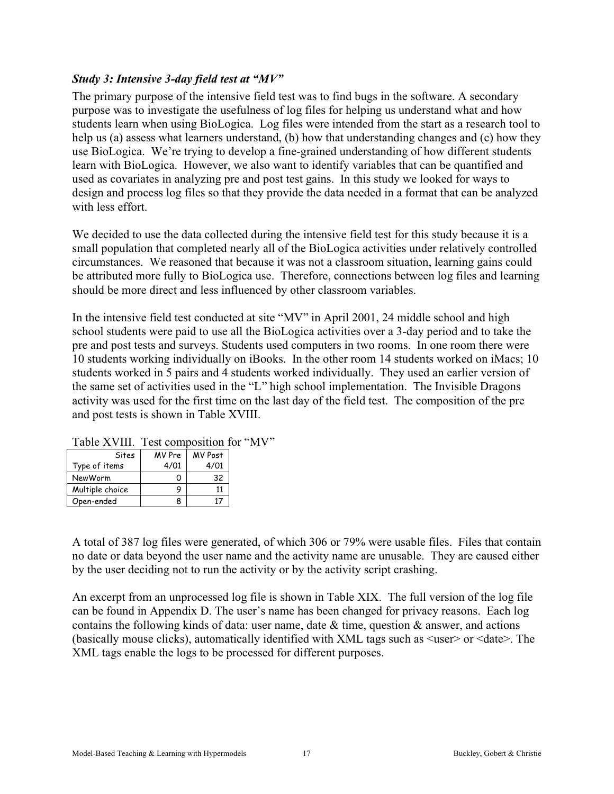### Study 3: Intensive 3-day field test at "MV"

The primary purpose of the intensive field test was to find bugs in the software. A secondary purpose was to investigate the usefulness of log files for helping us understand what and how students learn when using BioLogica. Log files were intended from the start as a research tool to help us (a) assess what learners understand, (b) how that understanding changes and (c) how they use BioLogica. We're trying to develop a fine-grained understanding of how different students learn with BioLogica. However, we also want to identify variables that can be quantified and used as covariates in analyzing pre and post test gains. In this study we looked for ways to design and process log files so that they provide the data needed in a format that can be analyzed with less effort.

We decided to use the data collected during the intensive field test for this study because it is a small population that completed nearly all of the BioLogica activities under relatively controlled circumstances. We reasoned that because it was not a classroom situation, learning gains could be attributed more fully to BioLogica use. Therefore, connections between log files and learning should be more direct and less influenced by other classroom variables.

In the intensive field test conducted at site "MV" in April 2001, 24 middle school and high school students were paid to use all the BioLogica activities over a 3-day period and to take the pre and post tests and surveys. Students used computers in two rooms. In one room there were 10 students working individually on iBooks. In the other room 14 students worked on iMacs; 10 students worked in 5 pairs and 4 students worked individually. They used an earlier version of the same set of activities used in the "L" high school implementation. The Invisible Dragons activity was used for the first time on the last day of the field test. The composition of the pre and post tests is shown in Table XVIII.

| Sites           | MV Pre | MV Post |
|-----------------|--------|---------|
| Type of items   | 4/01   | 4/01    |
| <b>NewWorm</b>  | O      | 32      |
| Multiple choice | 9      | 11      |
| Open-ended      | 8      |         |

Table XVIII. Test composition for "MV"

A total of 387 log files were generated, of which 306 or 79% were usable files. Files that contain no date or data beyond the user name and the activity name are unusable. They are caused either by the user deciding not to run the activity or by the activity script crashing.

An excerpt from an unprocessed log file is shown in Table XIX. The full version of the log file can be found in Appendix D. The user's name has been changed for privacy reasons. Each log contains the following kinds of data: user name, date  $\&$  time, question  $\&$  answer, and actions (basically mouse clicks), automatically identified with XML tags such as <user> or <date>. The XML tags enable the logs to be processed for different purposes.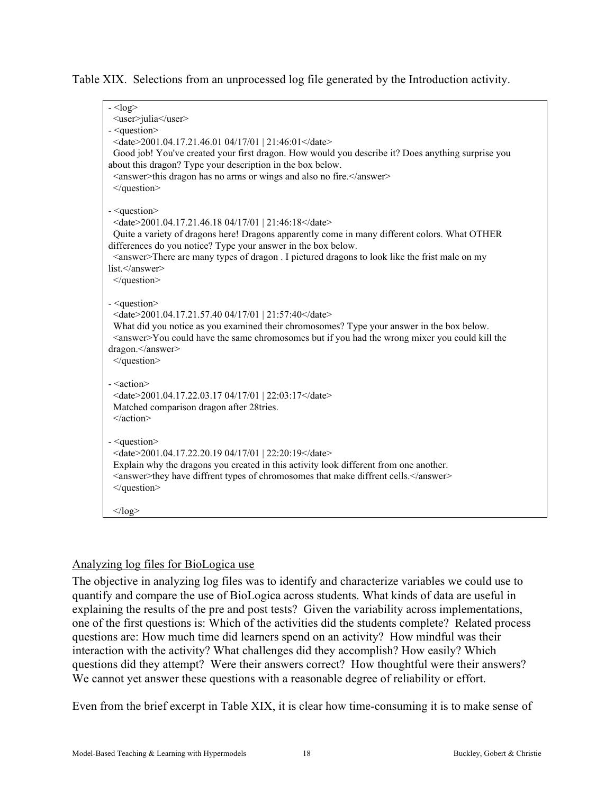| Table XIX. Selections from an unprocessed log file generated by the Introduction activity. |  |
|--------------------------------------------------------------------------------------------|--|
|--------------------------------------------------------------------------------------------|--|

| $-\langle \log \rangle$<br><user>julia</user><br>- <question><br/><date>2001.04.17.21.46.01 04/17/01   21:46:01</date><br/>Good job! You've created your first dragon. How would you describe it? Does anything surprise you<br/>about this dragon? Type your description in the box below.<br/><answer>this dragon has no arms or wings and also no fire.</answer><br/><math>\leq</math>/question&gt;</question>         |  |
|---------------------------------------------------------------------------------------------------------------------------------------------------------------------------------------------------------------------------------------------------------------------------------------------------------------------------------------------------------------------------------------------------------------------------|--|
| - <question><br/><date>2001.04.17.21.46.18 04/17/01   21:46:18</date><br/>Quite a variety of dragons here! Dragons apparently come in many different colors. What OTHER<br/>differences do you notice? Type your answer in the box below.<br/><answer>There are many types of dragon . I pictured dragons to look like the frist male on my<br/>list. &lt; /answer<br/><math>\leq</math>/question&gt;</answer></question> |  |
| - <question><br/><date>2001.04.17.21.57.40 04/17/01   21:57:40</date><br/>What did you notice as you examined their chromosomes? Type your answer in the box below.<br/><answer>You could have the same chromosomes but if you had the wrong mixer you could kill the<br/>dragon.</answer><br/><math>\leq</math>/question&gt;</question>                                                                                  |  |
| - <action><br/><date>2001.04.17.22.03.17 04/17/01   22:03:17</date><br/>Matched comparison dragon after 28tries.<br/><math>\alpha</math> /action&gt;</action>                                                                                                                                                                                                                                                             |  |
| - <question><br/><date>2001.04.17.22.20.19 04/17/01   22:20:19</date><br/>Explain why the dragons you created in this activity look different from one another.<br/><answer>they have diffrent types of chromosomes that make diffrent cells.</answer><br/></question>                                                                                                                                                    |  |
| $\langle$ log>                                                                                                                                                                                                                                                                                                                                                                                                            |  |

#### Analyzing log files for BioLogica use

The objective in analyzing log files was to identify and characterize variables we could use to quantify and compare the use of BioLogica across students. What kinds of data are useful in explaining the results of the pre and post tests? Given the variability across implementations, one of the first questions is: Which of the activities did the students complete? Related process questions are: How much time did learners spend on an activity? How mindful was their interaction with the activity? What challenges did they accomplish? How easily? Which questions did they attempt? Were their answers correct? How thoughtful were their answers? We cannot yet answer these questions with a reasonable degree of reliability or effort.

Even from the brief excerpt in Table XIX, it is clear how time-consuming it is to make sense of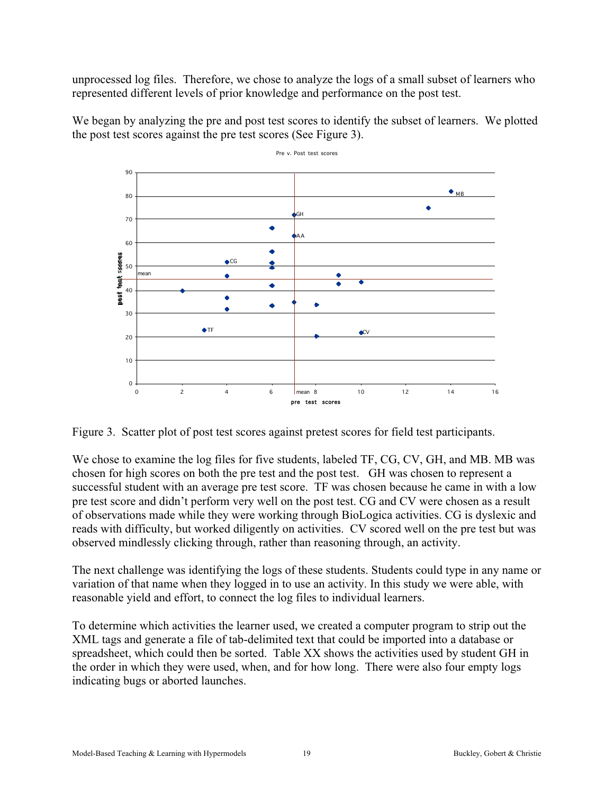unprocessed log files. Therefore, we chose to analyze the logs of a small subset of learners who represented different levels of prior knowledge and performance on the post test.

We began by analyzing the pre and post test scores to identify the subset of learners. We plotted the post test scores against the pre test scores (See Figure 3).



Pre v. Post test scores

Figure 3. Scatter plot of post test scores against pretest scores for field test participants.

We chose to examine the log files for five students, labeled TF, CG, CV, GH, and MB. MB was chosen for high scores on both the pre test and the post test. GH was chosen to represent a successful student with an average pre test score. TF was chosen because he came in with a low pre test score and didn't perform very well on the post test. CG and CV were chosen as a result of observations made while they were working through BioLogica activities. CG is dyslexic and reads with difficulty, but worked diligently on activities. CV scored well on the pre test but was observed mindlessly clicking through, rather than reasoning through, an activity.

The next challenge was identifying the logs of these students. Students could type in any name or variation of that name when they logged in to use an activity. In this study we were able, with reasonable yield and effort, to connect the log files to individual learners.

To determine which activities the learner used, we created a computer program to strip out the XML tags and generate a file of tab-delimited text that could be imported into a database or spreadsheet, which could then be sorted. Table XX shows the activities used by student GH in the order in which they were used, when, and for how long. There were also four empty logs indicating bugs or aborted launches.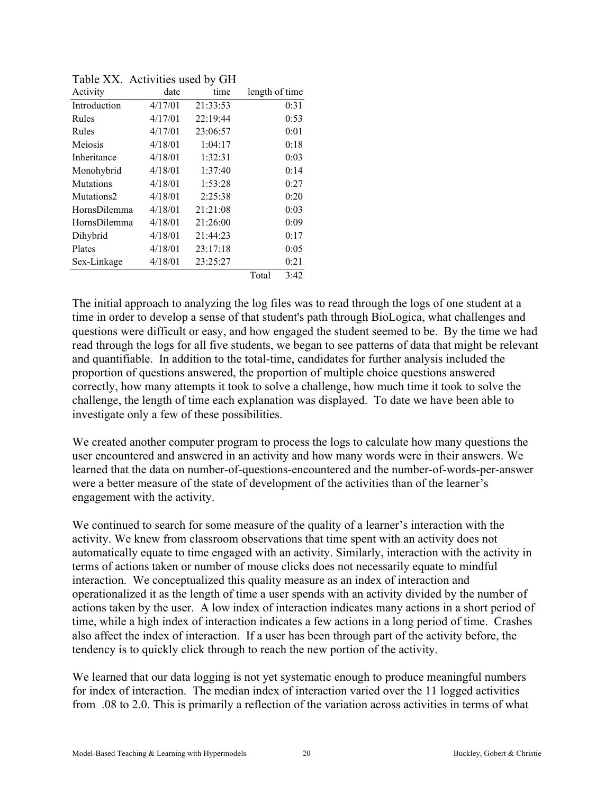| Activity         | date    | time     | length of time |      |
|------------------|---------|----------|----------------|------|
| Introduction     | 4/17/01 | 21:33:53 |                | 0:31 |
| Rules            | 4/17/01 | 22:19:44 |                | 0:53 |
| Rules            | 4/17/01 | 23:06:57 |                | 0:01 |
| Meiosis          | 4/18/01 | 1:04:17  |                | 0:18 |
| Inheritance      | 4/18/01 | 1:32:31  |                | 0:03 |
| Monohybrid       | 4/18/01 | 1:37:40  |                | 0:14 |
| <b>Mutations</b> | 4/18/01 | 1:53:28  |                | 0:27 |
| Mutations2       | 4/18/01 | 2:25:38  |                | 0:20 |
| HornsDilemma     | 4/18/01 | 21:21:08 |                | 0:03 |
| HornsDilemma     | 4/18/01 | 21:26:00 |                | 0:09 |
| Dihybrid         | 4/18/01 | 21:44:23 |                | 0:17 |
| Plates           | 4/18/01 | 23:17:18 |                | 0:05 |
| Sex-Linkage      | 4/18/01 | 23:25:27 |                | 0:21 |
|                  |         |          | Total          | 3:42 |

Table XX. Activities used by GH

The initial approach to analyzing the log files was to read through the logs of one student at a time in order to develop a sense of that student's path through BioLogica, what challenges and questions were difficult or easy, and how engaged the student seemed to be. By the time we had read through the logs for all five students, we began to see patterns of data that might be relevant and quantifiable. In addition to the total-time, candidates for further analysis included the proportion of questions answered, the proportion of multiple choice questions answered correctly, how many attempts it took to solve a challenge, how much time it took to solve the challenge, the length of time each explanation was displayed. To date we have been able to investigate only a few of these possibilities.

We created another computer program to process the logs to calculate how many questions the user encountered and answered in an activity and how many words were in their answers. We learned that the data on number-of-questions-encountered and the number-of-words-per-answer were a better measure of the state of development of the activities than of the learner's engagement with the activity.

We continued to search for some measure of the quality of a learner's interaction with the activity. We knew from classroom observations that time spent with an activity does not automatically equate to time engaged with an activity. Similarly, interaction with the activity in terms of actions taken or number of mouse clicks does not necessarily equate to mindful interaction. We conceptualized this quality measure as an index of interaction and operationalized it as the length of time a user spends with an activity divided by the number of actions taken by the user. A low index of interaction indicates many actions in a short period of time, while a high index of interaction indicates a few actions in a long period of time. Crashes also affect the index of interaction. If a user has been through part of the activity before, the tendency is to quickly click through to reach the new portion of the activity.

We learned that our data logging is not yet systematic enough to produce meaningful numbers for index of interaction. The median index of interaction varied over the 11 logged activities from .08 to 2.0. This is primarily a reflection of the variation across activities in terms of what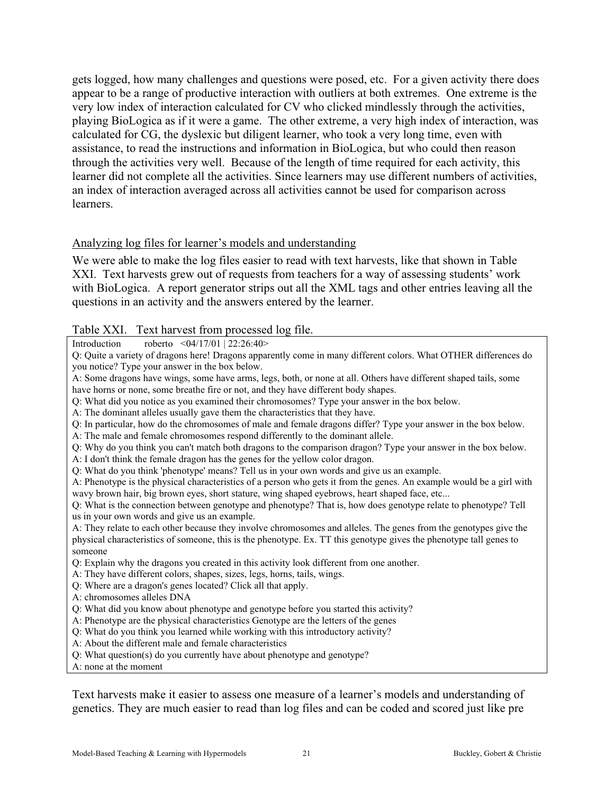gets logged, how many challenges and questions were posed, etc. For a given activity there does appear to be a range of productive interaction with outliers at both extremes. One extreme is the very low index of interaction calculated for CV who clicked mindlessly through the activities, playing BioLogica as if it were a game. The other extreme, a very high index of interaction, was calculated for CG, the dyslexic but diligent learner, who took a very long time, even with assistance, to read the instructions and information in BioLogica, but who could then reason through the activities very well. Because of the length of time required for each activity, this learner did not complete all the activities. Since learners may use different numbers of activities, an index of interaction averaged across all activities cannot be used for comparison across learners.

#### Analyzing log files for learner's models and understanding

We were able to make the log files easier to read with text harvests, like that shown in Table XXI. Text harvests grew out of requests from teachers for a way of assessing students' work with BioLogica. A report generator strips out all the XML tags and other entries leaving all the questions in an activity and the answers entered by the learner.

#### Table XXI. Text harvest from processed log file.

| Introduction roberto $\langle 04/17/01   22:26:40 \rangle$                                                           |  |  |  |  |  |  |  |
|----------------------------------------------------------------------------------------------------------------------|--|--|--|--|--|--|--|
| Q: Quite a variety of dragons here! Dragons apparently come in many different colors. What OTHER differences do      |  |  |  |  |  |  |  |
| you notice? Type your answer in the box below.                                                                       |  |  |  |  |  |  |  |
| A: Some dragons have wings, some have arms, legs, both, or none at all. Others have different shaped tails, some     |  |  |  |  |  |  |  |
| have horns or none, some breathe fire or not, and they have different body shapes.                                   |  |  |  |  |  |  |  |
| Q: What did you notice as you examined their chromosomes? Type your answer in the box below.                         |  |  |  |  |  |  |  |
| A: The dominant alleles usually gave them the characteristics that they have.                                        |  |  |  |  |  |  |  |
| Q: In particular, how do the chromosomes of male and female dragons differ? Type your answer in the box below.       |  |  |  |  |  |  |  |
| A: The male and female chromosomes respond differently to the dominant allele.                                       |  |  |  |  |  |  |  |
| Q: Why do you think you can't match both dragons to the comparison dragon? Type your answer in the box below.        |  |  |  |  |  |  |  |
| A: I don't think the female dragon has the genes for the yellow color dragon.                                        |  |  |  |  |  |  |  |
| Q: What do you think 'phenotype' means? Tell us in your own words and give us an example.                            |  |  |  |  |  |  |  |
| A: Phenotype is the physical characteristics of a person who gets it from the genes. An example would be a girl with |  |  |  |  |  |  |  |
| wavy brown hair, big brown eyes, short stature, wing shaped eyebrows, heart shaped face, etc                         |  |  |  |  |  |  |  |
| Q: What is the connection between genotype and phenotype? That is, how does genotype relate to phenotype? Tell       |  |  |  |  |  |  |  |
| us in your own words and give us an example.                                                                         |  |  |  |  |  |  |  |
| A: They relate to each other because they involve chromosomes and alleles. The genes from the genotypes give the     |  |  |  |  |  |  |  |
| physical characteristics of someone, this is the phenotype. Ex. TT this genotype gives the phenotype tall genes to   |  |  |  |  |  |  |  |
| someone                                                                                                              |  |  |  |  |  |  |  |
| Q: Explain why the dragons you created in this activity look different from one another.                             |  |  |  |  |  |  |  |
| A: They have different colors, shapes, sizes, legs, horns, tails, wings.                                             |  |  |  |  |  |  |  |
| Q: Where are a dragon's genes located? Click all that apply.                                                         |  |  |  |  |  |  |  |
| A: chromosomes alleles DNA                                                                                           |  |  |  |  |  |  |  |
| Q: What did you know about phenotype and genotype before you started this activity?                                  |  |  |  |  |  |  |  |
| A: Phenotype are the physical characteristics Genotype are the letters of the genes                                  |  |  |  |  |  |  |  |
| Q: What do you think you learned while working with this introductory activity?                                      |  |  |  |  |  |  |  |
| A: About the different male and female characteristics                                                               |  |  |  |  |  |  |  |
| Q: What question(s) do you currently have about phenotype and genotype?                                              |  |  |  |  |  |  |  |
| A: none at the moment                                                                                                |  |  |  |  |  |  |  |

Text harvests make it easier to assess one measure of a learner's models and understanding of genetics. They are much easier to read than log files and can be coded and scored just like pre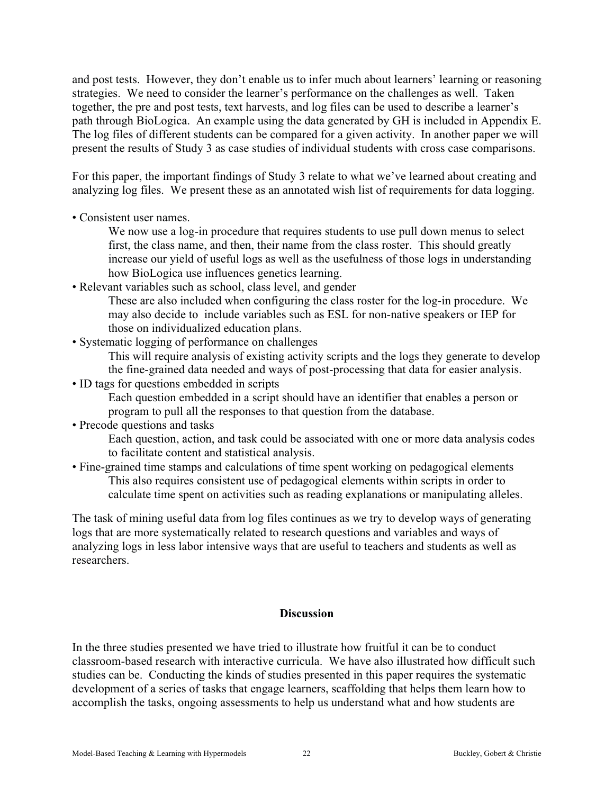and post tests. However, they don't enable us to infer much about learners' learning or reasoning strategies. We need to consider the learner's performance on the challenges as well. Taken together, the pre and post tests, text harvests, and log files can be used to describe a learner's path through BioLogica. An example using the data generated by GH is included in Appendix E. The log files of different students can be compared for a given activity. In another paper we will present the results of Study 3 as case studies of individual students with cross case comparisons.

For this paper, the important findings of Study 3 relate to what we've learned about creating and analyzing log files. We present these as an annotated wish list of requirements for data logging.

• Consistent user names.

We now use a log-in procedure that requires students to use pull down menus to select first, the class name, and then, their name from the class roster. This should greatly increase our yield of useful logs as well as the usefulness of those logs in understanding how BioLogica use influences genetics learning.

- Relevant variables such as school, class level, and gender These are also included when configuring the class roster for the log-in procedure. We may also decide to include variables such as ESL for non-native speakers or IEP for those on individualized education plans.
- Systematic logging of performance on challenges This will require analysis of existing activity scripts and the logs they generate to develop the fine-grained data needed and ways of post-processing that data for easier analysis.
- ID tags for questions embedded in scripts Each question embedded in a script should have an identifier that enables a person or program to pull all the responses to that question from the database.
- Precode questions and tasks

Each question, action, and task could be associated with one or more data analysis codes to facilitate content and statistical analysis.

• Fine-grained time stamps and calculations of time spent working on pedagogical elements This also requires consistent use of pedagogical elements within scripts in order to calculate time spent on activities such as reading explanations or manipulating alleles.

The task of mining useful data from log files continues as we try to develop ways of generating logs that are more systematically related to research questions and variables and ways of analyzing logs in less labor intensive ways that are useful to teachers and students as well as researchers.

#### Discussion

In the three studies presented we have tried to illustrate how fruitful it can be to conduct classroom-based research with interactive curricula. We have also illustrated how difficult such studies can be. Conducting the kinds of studies presented in this paper requires the systematic development of a series of tasks that engage learners, scaffolding that helps them learn how to accomplish the tasks, ongoing assessments to help us understand what and how students are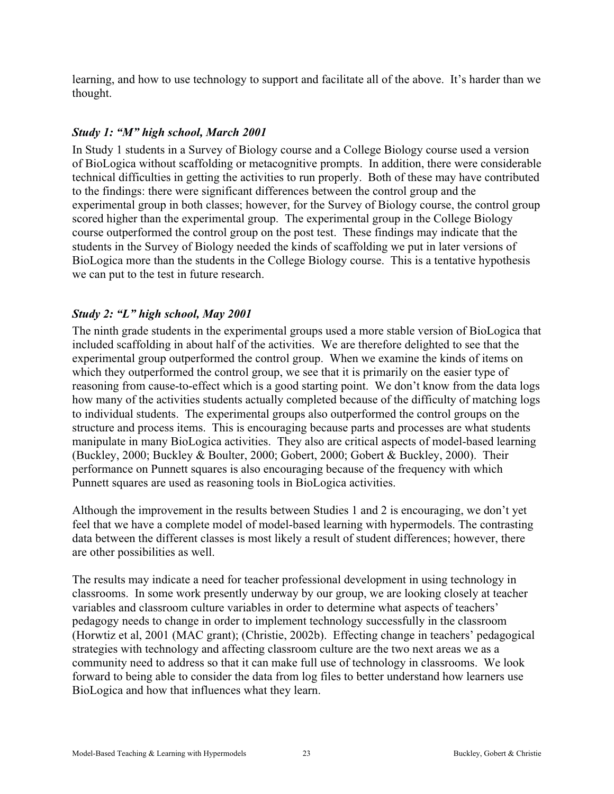learning, and how to use technology to support and facilitate all of the above. It's harder than we thought.

# Study 1: "M" high school, March 2001

In Study 1 students in a Survey of Biology course and a College Biology course used a version of BioLogica without scaffolding or metacognitive prompts. In addition, there were considerable technical difficulties in getting the activities to run properly. Both of these may have contributed to the findings: there were significant differences between the control group and the experimental group in both classes; however, for the Survey of Biology course, the control group scored higher than the experimental group. The experimental group in the College Biology course outperformed the control group on the post test. These findings may indicate that the students in the Survey of Biology needed the kinds of scaffolding we put in later versions of BioLogica more than the students in the College Biology course. This is a tentative hypothesis we can put to the test in future research.

### Study 2: "L" high school, May 2001

The ninth grade students in the experimental groups used a more stable version of BioLogica that included scaffolding in about half of the activities. We are therefore delighted to see that the experimental group outperformed the control group. When we examine the kinds of items on which they outperformed the control group, we see that it is primarily on the easier type of reasoning from cause-to-effect which is a good starting point. We don't know from the data logs how many of the activities students actually completed because of the difficulty of matching logs to individual students. The experimental groups also outperformed the control groups on the structure and process items. This is encouraging because parts and processes are what students manipulate in many BioLogica activities. They also are critical aspects of model-based learning (Buckley, 2000; Buckley & Boulter, 2000; Gobert, 2000; Gobert & Buckley, 2000). Their performance on Punnett squares is also encouraging because of the frequency with which Punnett squares are used as reasoning tools in BioLogica activities.

Although the improvement in the results between Studies 1 and 2 is encouraging, we don't yet feel that we have a complete model of model-based learning with hypermodels. The contrasting data between the different classes is most likely a result of student differences; however, there are other possibilities as well.

The results may indicate a need for teacher professional development in using technology in classrooms. In some work presently underway by our group, we are looking closely at teacher variables and classroom culture variables in order to determine what aspects of teachers' pedagogy needs to change in order to implement technology successfully in the classroom (Horwtiz et al, 2001 (MAC grant); (Christie, 2002b). Effecting change in teachers' pedagogical strategies with technology and affecting classroom culture are the two next areas we as a community need to address so that it can make full use of technology in classrooms. We look forward to being able to consider the data from log files to better understand how learners use BioLogica and how that influences what they learn.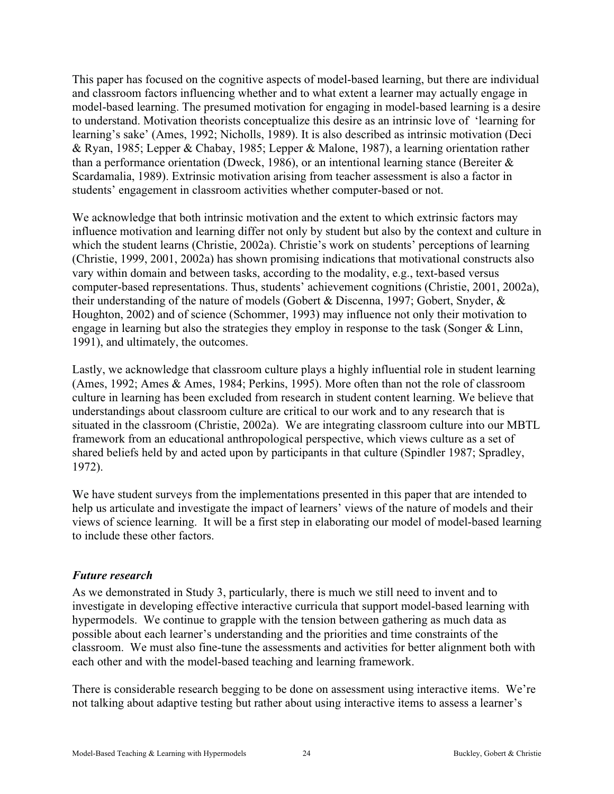This paper has focused on the cognitive aspects of model-based learning, but there are individual and classroom factors influencing whether and to what extent a learner may actually engage in model-based learning. The presumed motivation for engaging in model-based learning is a desire to understand. Motivation theorists conceptualize this desire as an intrinsic love of 'learning for learning's sake' (Ames, 1992; Nicholls, 1989). It is also described as intrinsic motivation (Deci & Ryan, 1985; Lepper & Chabay, 1985; Lepper & Malone, 1987), a learning orientation rather than a performance orientation (Dweck, 1986), or an intentional learning stance (Bereiter  $\&$ Scardamalia, 1989). Extrinsic motivation arising from teacher assessment is also a factor in students' engagement in classroom activities whether computer-based or not.

We acknowledge that both intrinsic motivation and the extent to which extrinsic factors may influence motivation and learning differ not only by student but also by the context and culture in which the student learns (Christie, 2002a). Christie's work on students' perceptions of learning (Christie, 1999, 2001, 2002a) has shown promising indications that motivational constructs also vary within domain and between tasks, according to the modality, e.g., text-based versus computer-based representations. Thus, students' achievement cognitions (Christie, 2001, 2002a), their understanding of the nature of models (Gobert & Discenna, 1997; Gobert, Snyder, & Houghton, 2002) and of science (Schommer, 1993) may influence not only their motivation to engage in learning but also the strategies they employ in response to the task (Songer & Linn, 1991), and ultimately, the outcomes.

Lastly, we acknowledge that classroom culture plays a highly influential role in student learning (Ames, 1992; Ames & Ames, 1984; Perkins, 1995). More often than not the role of classroom culture in learning has been excluded from research in student content learning. We believe that understandings about classroom culture are critical to our work and to any research that is situated in the classroom (Christie, 2002a). We are integrating classroom culture into our MBTL framework from an educational anthropological perspective, which views culture as a set of shared beliefs held by and acted upon by participants in that culture (Spindler 1987; Spradley, 1972).

We have student surveys from the implementations presented in this paper that are intended to help us articulate and investigate the impact of learners' views of the nature of models and their views of science learning. It will be a first step in elaborating our model of model-based learning to include these other factors.

#### Future research

As we demonstrated in Study 3, particularly, there is much we still need to invent and to investigate in developing effective interactive curricula that support model-based learning with hypermodels. We continue to grapple with the tension between gathering as much data as possible about each learner's understanding and the priorities and time constraints of the classroom. We must also fine-tune the assessments and activities for better alignment both with each other and with the model-based teaching and learning framework.

There is considerable research begging to be done on assessment using interactive items. We're not talking about adaptive testing but rather about using interactive items to assess a learner's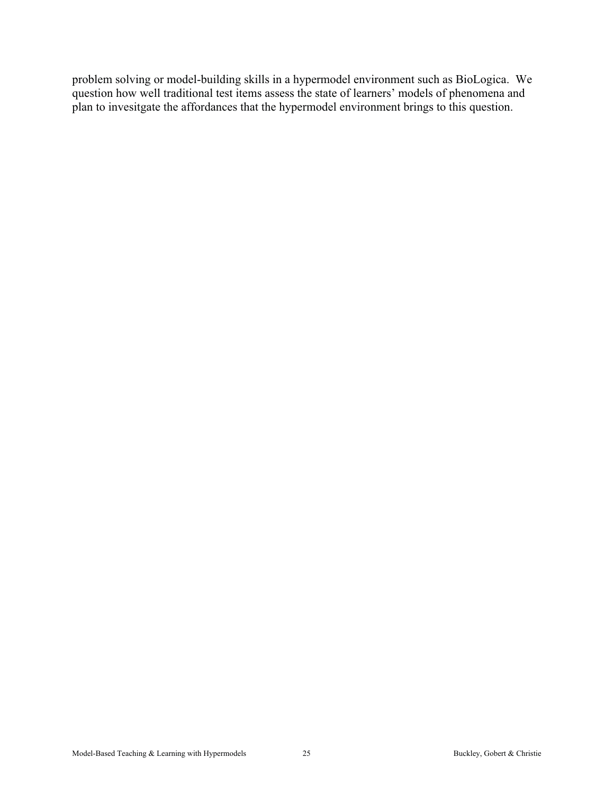problem solving or model-building skills in a hypermodel environment such as BioLogica. We question how well traditional test items assess the state of learners' models of phenomena and plan to invesitgate the affordances that the hypermodel environment brings to this question.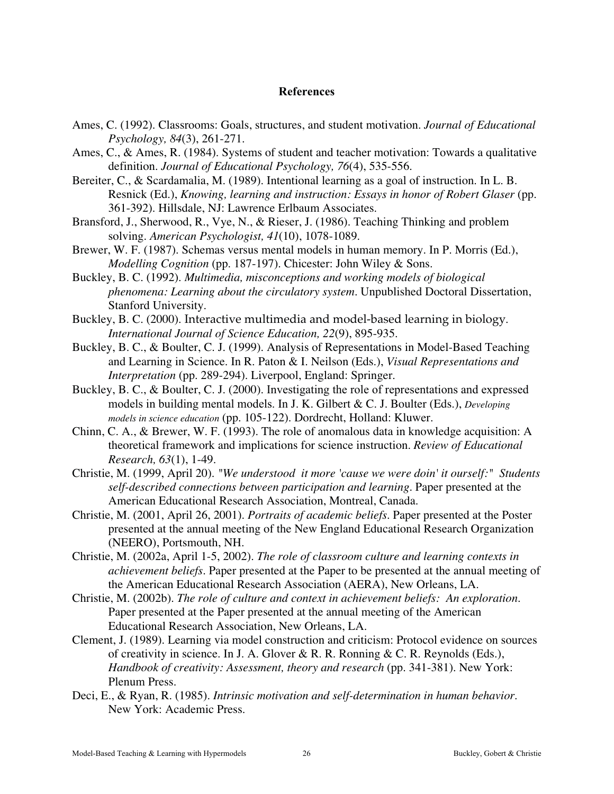#### References

- Ames, C. (1992). Classrooms: Goals, structures, and student motivation. *Journal of Educational* Psychology, 84(3), 261-271.
- Ames, C., & Ames, R. (1984). Systems of student and teacher motivation: Towards a qualitative definition. Journal of Educational Psychology, 76(4), 535-556.
- Bereiter, C., & Scardamalia, M. (1989). Intentional learning as a goal of instruction. In L. B. Resnick (Ed.), *Knowing, learning and instruction: Essays in honor of Robert Glaser* (pp. 361-392). Hillsdale, NJ: Lawrence Erlbaum Associates.
- Bransford, J., Sherwood, R., Vye, N., & Rieser, J. (1986). Teaching Thinking and problem solving. American Psychologist, 41(10), 1078-1089.
- Brewer, W. F. (1987). Schemas versus mental models in human memory. In P. Morris (Ed.), Modelling Cognition (pp. 187-197). Chicester: John Wiley & Sons.
- Buckley, B. C. (1992). Multimedia, misconceptions and working models of biological phenomena: Learning about the circulatory system. Unpublished Doctoral Dissertation, Stanford University.
- Buckley, B. C. (2000). Interactive multimedia and model-based learning in biology. International Journal of Science Education, 22(9), 895-935.
- Buckley, B. C., & Boulter, C. J. (1999). Analysis of Representations in Model-Based Teaching and Learning in Science. In R. Paton & I. Neilson (Eds.), Visual Representations and Interpretation (pp. 289-294). Liverpool, England: Springer.
- Buckley, B. C., & Boulter, C. J. (2000). Investigating the role of representations and expressed models in building mental models. In J. K. Gilbert & C. J. Boulter (Eds.), Developing models in science education (pp. 105-122). Dordrecht, Holland: Kluwer.
- Chinn, C. A., & Brewer, W. F. (1993). The role of anomalous data in knowledge acquisition: A theoretical framework and implications for science instruction. Review of Educational Research, 63(1), 1-49.
- Christie, M. (1999, April 20). "We understood it more 'cause we were doin' it ourself:" Students self-described connections between participation and learning. Paper presented at the American Educational Research Association, Montreal, Canada.
- Christie, M. (2001, April 26, 2001). Portraits of academic beliefs. Paper presented at the Poster presented at the annual meeting of the New England Educational Research Organization (NEERO), Portsmouth, NH.
- Christie, M. (2002a, April 1-5, 2002). The role of classroom culture and learning contexts in achievement beliefs. Paper presented at the Paper to be presented at the annual meeting of the American Educational Research Association (AERA), New Orleans, LA.
- Christie, M. (2002b). The role of culture and context in achievement beliefs: An exploration. Paper presented at the Paper presented at the annual meeting of the American Educational Research Association, New Orleans, LA.
- Clement, J. (1989). Learning via model construction and criticism: Protocol evidence on sources of creativity in science. In J. A. Glover & R. R. Ronning & C. R. Reynolds (Eds.), Handbook of creativity: Assessment, theory and research (pp. 341-381). New York: Plenum Press.
- Deci, E., & Ryan, R. (1985). Intrinsic motivation and self-determination in human behavior. New York: Academic Press.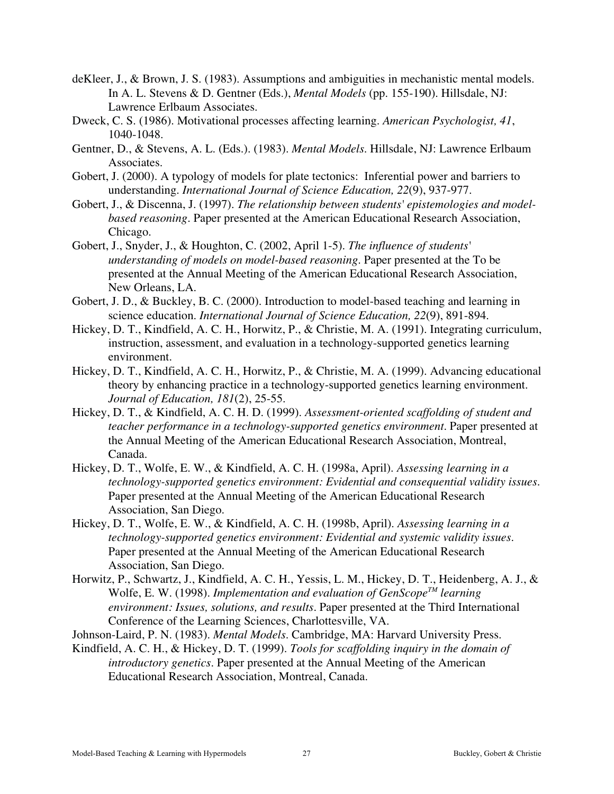- deKleer, J., & Brown, J. S. (1983). Assumptions and ambiguities in mechanistic mental models. In A. L. Stevens & D. Gentner (Eds.), *Mental Models* (pp. 155-190). Hillsdale, NJ: Lawrence Erlbaum Associates.
- Dweck, C. S. (1986). Motivational processes affecting learning. American Psychologist, 41, 1040-1048.
- Gentner, D., & Stevens, A. L. (Eds.). (1983). Mental Models. Hillsdale, NJ: Lawrence Erlbaum Associates.
- Gobert, J. (2000). A typology of models for plate tectonics: Inferential power and barriers to understanding. International Journal of Science Education, 22(9), 937-977.
- Gobert, J., & Discenna, J. (1997). The relationship between students' epistemologies and modelbased reasoning. Paper presented at the American Educational Research Association, Chicago.
- Gobert, J., Snyder, J., & Houghton, C. (2002, April 1-5). The influence of students' understanding of models on model-based reasoning. Paper presented at the To be presented at the Annual Meeting of the American Educational Research Association, New Orleans, LA.
- Gobert, J. D., & Buckley, B. C. (2000). Introduction to model-based teaching and learning in science education. International Journal of Science Education, 22(9), 891-894.
- Hickey, D. T., Kindfield, A. C. H., Horwitz, P., & Christie, M. A. (1991). Integrating curriculum, instruction, assessment, and evaluation in a technology-supported genetics learning environment.
- Hickey, D. T., Kindfield, A. C. H., Horwitz, P., & Christie, M. A. (1999). Advancing educational theory by enhancing practice in a technology-supported genetics learning environment. Journal of Education, 181(2), 25-55.
- Hickey, D. T., & Kindfield, A. C. H. D. (1999). Assessment-oriented scaffolding of student and teacher performance in a technology-supported genetics environment. Paper presented at the Annual Meeting of the American Educational Research Association, Montreal, Canada.
- Hickey, D. T., Wolfe, E. W., & Kindfield, A. C. H. (1998a, April). Assessing learning in a technology-supported genetics environment: Evidential and consequential validity issues. Paper presented at the Annual Meeting of the American Educational Research Association, San Diego.
- Hickey, D. T., Wolfe, E. W., & Kindfield, A. C. H. (1998b, April). Assessing learning in a technology-supported genetics environment: Evidential and systemic validity issues. Paper presented at the Annual Meeting of the American Educational Research Association, San Diego.
- Horwitz, P., Schwartz, J., Kindfield, A. C. H., Yessis, L. M., Hickey, D. T., Heidenberg, A. J., & Wolfe, E. W. (1998). Implementation and evaluation of GenScope<sup>TM</sup> learning environment: Issues, solutions, and results. Paper presented at the Third International Conference of the Learning Sciences, Charlottesville, VA.
- Johnson-Laird, P. N. (1983). Mental Models. Cambridge, MA: Harvard University Press.
- Kindfield, A. C. H., & Hickey, D. T. (1999). Tools for scaffolding inquiry in the domain of introductory genetics. Paper presented at the Annual Meeting of the American Educational Research Association, Montreal, Canada.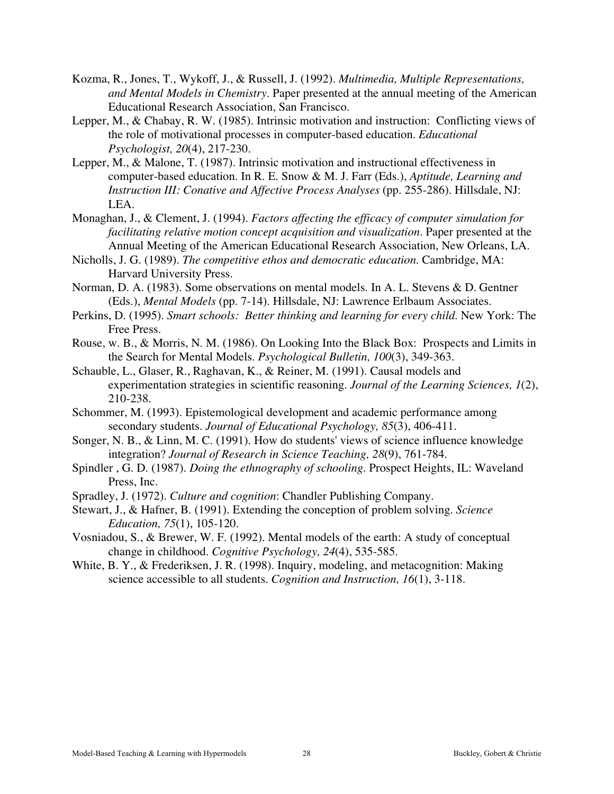- Kozma, R., Jones, T., Wykoff, J., & Russell, J. (1992). Multimedia, Multiple Representations, and Mental Models in Chemistry. Paper presented at the annual meeting of the American Educational Research Association, San Francisco.
- Lepper, M., & Chabay, R. W. (1985). Intrinsic motivation and instruction: Conflicting views of the role of motivational processes in computer-based education. Educational Psychologist, 20(4), 217-230.
- Lepper, M., & Malone, T. (1987). Intrinsic motivation and instructional effectiveness in computer-based education. In R. E. Snow & M. J. Farr (Eds.), Aptitude, Learning and Instruction III: Conative and Affective Process Analyses (pp. 255-286). Hillsdale, NJ: LEA.
- Monaghan, J., & Clement, J. (1994). Factors affecting the efficacy of computer simulation for facilitating relative motion concept acquisition and visualization. Paper presented at the Annual Meeting of the American Educational Research Association, New Orleans, LA.
- Nicholls, J. G. (1989). The competitive ethos and democratic education. Cambridge, MA: Harvard University Press.
- Norman, D. A. (1983). Some observations on mental models. In A. L. Stevens & D. Gentner (Eds.), Mental Models (pp. 7-14). Hillsdale, NJ: Lawrence Erlbaum Associates.
- Perkins, D. (1995). Smart schools: Better thinking and learning for every child. New York: The Free Press.
- Rouse, w. B., & Morris, N. M. (1986). On Looking Into the Black Box: Prospects and Limits in the Search for Mental Models. Psychological Bulletin, 100(3), 349-363.
- Schauble, L., Glaser, R., Raghavan, K., & Reiner, M. (1991). Causal models and experimentation strategies in scientific reasoning. Journal of the Learning Sciences, 1(2), 210-238.
- Schommer, M. (1993). Epistemological development and academic performance among secondary students. Journal of Educational Psychology, 85(3), 406-411.
- Songer, N. B., & Linn, M. C. (1991). How do students' views of science influence knowledge integration? Journal of Research in Science Teaching, 28(9), 761-784.
- Spindler , G. D. (1987). Doing the ethnography of schooling. Prospect Heights, IL: Waveland Press, Inc.
- Spradley, J. (1972). Culture and cognition: Chandler Publishing Company.
- Stewart, J., & Hafner, B. (1991). Extending the conception of problem solving. Science Education, 75(1), 105-120.
- Vosniadou, S., & Brewer, W. F. (1992). Mental models of the earth: A study of conceptual change in childhood. Cognitive Psychology, 24(4), 535-585.
- White, B. Y., & Frederiksen, J. R. (1998). Inquiry, modeling, and metacognition: Making science accessible to all students. Cognition and Instruction, 16(1), 3-118.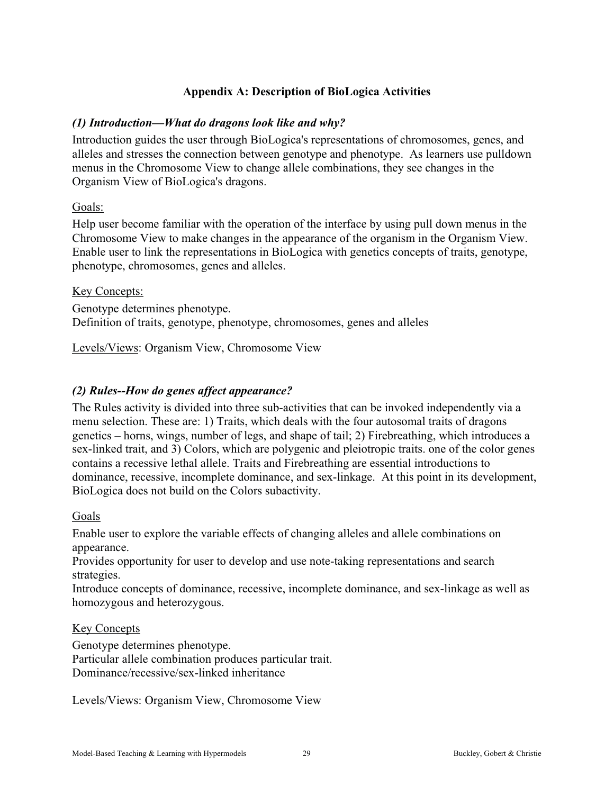# Appendix A: Description of BioLogica Activities

### (1) Introduction—What do dragons look like and why?

Introduction guides the user through BioLogica's representations of chromosomes, genes, and alleles and stresses the connection between genotype and phenotype. As learners use pulldown menus in the Chromosome View to change allele combinations, they see changes in the Organism View of BioLogica's dragons.

### Goals:

Help user become familiar with the operation of the interface by using pull down menus in the Chromosome View to make changes in the appearance of the organism in the Organism View. Enable user to link the representations in BioLogica with genetics concepts of traits, genotype, phenotype, chromosomes, genes and alleles.

#### Key Concepts:

Genotype determines phenotype. Definition of traits, genotype, phenotype, chromosomes, genes and alleles

Levels/Views: Organism View, Chromosome View

### (2) Rules--How do genes affect appearance?

The Rules activity is divided into three sub-activities that can be invoked independently via a menu selection. These are: 1) Traits, which deals with the four autosomal traits of dragons genetics – horns, wings, number of legs, and shape of tail; 2) Firebreathing, which introduces a sex-linked trait, and 3) Colors, which are polygenic and pleiotropic traits. one of the color genes contains a recessive lethal allele. Traits and Firebreathing are essential introductions to dominance, recessive, incomplete dominance, and sex-linkage. At this point in its development, BioLogica does not build on the Colors subactivity.

#### Goals

Enable user to explore the variable effects of changing alleles and allele combinations on appearance.

Provides opportunity for user to develop and use note-taking representations and search strategies.

Introduce concepts of dominance, recessive, incomplete dominance, and sex-linkage as well as homozygous and heterozygous.

#### Key Concepts

Genotype determines phenotype.

Particular allele combination produces particular trait. Dominance/recessive/sex-linked inheritance

Levels/Views: Organism View, Chromosome View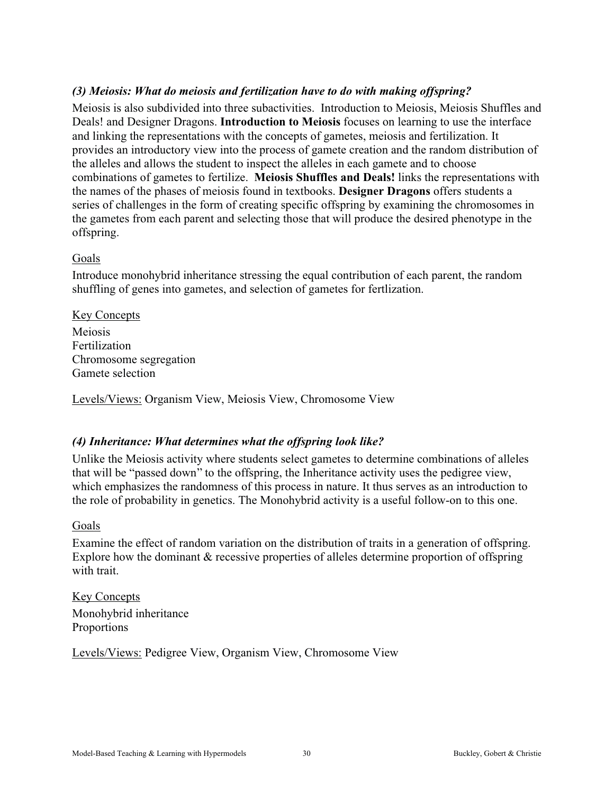### (3) Meiosis: What do meiosis and fertilization have to do with making offspring?

Meiosis is also subdivided into three subactivities. Introduction to Meiosis, Meiosis Shuffles and Deals! and Designer Dragons. Introduction to Meiosis focuses on learning to use the interface and linking the representations with the concepts of gametes, meiosis and fertilization. It provides an introductory view into the process of gamete creation and the random distribution of the alleles and allows the student to inspect the alleles in each gamete and to choose combinations of gametes to fertilize. Meiosis Shuffles and Deals! links the representations with the names of the phases of meiosis found in textbooks. Designer Dragons offers students a series of challenges in the form of creating specific offspring by examining the chromosomes in the gametes from each parent and selecting those that will produce the desired phenotype in the offspring.

### Goals

Introduce monohybrid inheritance stressing the equal contribution of each parent, the random shuffling of genes into gametes, and selection of gametes for fertlization.

# Key Concepts

Meiosis Fertilization Chromosome segregation Gamete selection

Levels/Views: Organism View, Meiosis View, Chromosome View

# (4) Inheritance: What determines what the offspring look like?

Unlike the Meiosis activity where students select gametes to determine combinations of alleles that will be "passed down" to the offspring, the Inheritance activity uses the pedigree view, which emphasizes the randomness of this process in nature. It thus serves as an introduction to the role of probability in genetics. The Monohybrid activity is a useful follow-on to this one.

Goals

Examine the effect of random variation on the distribution of traits in a generation of offspring. Explore how the dominant & recessive properties of alleles determine proportion of offspring with trait.

Key Concepts Monohybrid inheritance Proportions

Levels/Views: Pedigree View, Organism View, Chromosome View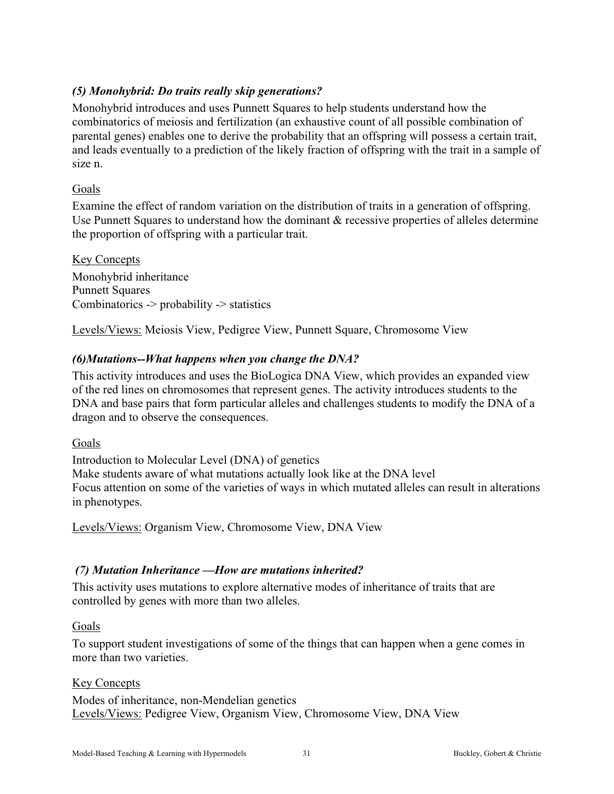# (5) Monohybrid: Do traits really skip generations?

Monohybrid introduces and uses Punnett Squares to help students understand how the combinatorics of meiosis and fertilization (an exhaustive count of all possible combination of parental genes) enables one to derive the probability that an offspring will possess a certain trait, and leads eventually to a prediction of the likely fraction of offspring with the trait in a sample of size n.

# Goals

Examine the effect of random variation on the distribution of traits in a generation of offspring. Use Punnett Squares to understand how the dominant & recessive properties of alleles determine the proportion of offspring with a particular trait.

Key Concepts Monohybrid inheritance Punnett Squares Combinatorics -> probability -> statistics

Levels/Views: Meiosis View, Pedigree View, Punnett Square, Chromosome View

# (6)Mutations--What happens when you change the DNA?

This activity introduces and uses the BioLogica DNA View, which provides an expanded view of the red lines on chromosomes that represent genes. The activity introduces students to the DNA and base pairs that form particular alleles and challenges students to modify the DNA of a dragon and to observe the consequences.

# Goals

Introduction to Molecular Level (DNA) of genetics Make students aware of what mutations actually look like at the DNA level Focus attention on some of the varieties of ways in which mutated alleles can result in alterations in phenotypes.

Levels/Views: Organism View, Chromosome View, DNA View

# (7) Mutation Inheritance —How are mutations inherited?

This activity uses mutations to explore alternative modes of inheritance of traits that are controlled by genes with more than two alleles.

# Goals

To support student investigations of some of the things that can happen when a gene comes in more than two varieties.

# **Key Concepts**

Modes of inheritance, non-Mendelian genetics Levels/Views: Pedigree View, Organism View, Chromosome View, DNA View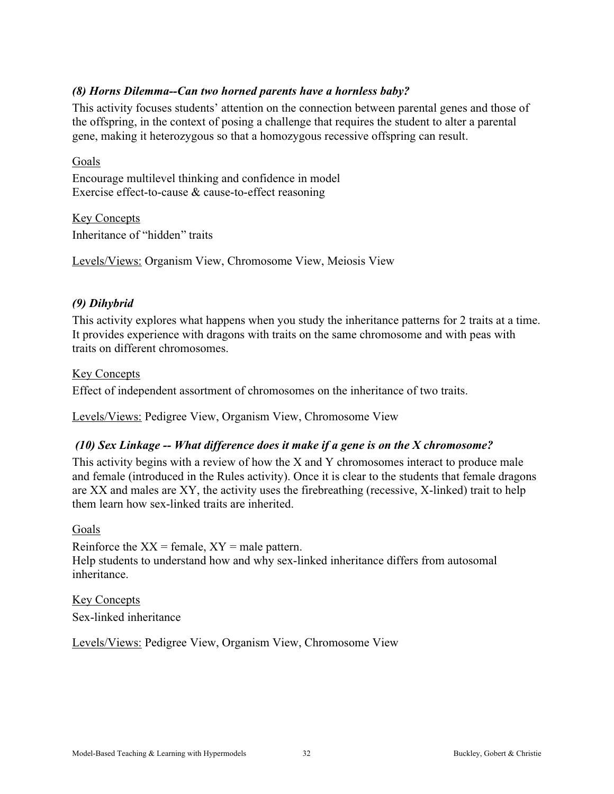### (8) Horns Dilemma--Can two horned parents have a hornless baby?

This activity focuses students' attention on the connection between parental genes and those of the offspring, in the context of posing a challenge that requires the student to alter a parental gene, making it heterozygous so that a homozygous recessive offspring can result.

### Goals

Encourage multilevel thinking and confidence in model Exercise effect-to-cause & cause-to-effect reasoning

Key Concepts Inheritance of "hidden" traits

Levels/Views: Organism View, Chromosome View, Meiosis View

# (9) Dihybrid

This activity explores what happens when you study the inheritance patterns for 2 traits at a time. It provides experience with dragons with traits on the same chromosome and with peas with traits on different chromosomes.

#### Key Concepts

Effect of independent assortment of chromosomes on the inheritance of two traits.

Levels/Views: Pedigree View, Organism View, Chromosome View

# (10) Sex Linkage -- What difference does it make if a gene is on the X chromosome?

This activity begins with a review of how the X and Y chromosomes interact to produce male and female (introduced in the Rules activity). Once it is clear to the students that female dragons are XX and males are XY, the activity uses the firebreathing (recessive, X-linked) trait to help them learn how sex-linked traits are inherited.

#### Goals

Reinforce the  $XX =$  female,  $XY =$  male pattern. Help students to understand how and why sex-linked inheritance differs from autosomal inheritance.

Key Concepts Sex-linked inheritance

Levels/Views: Pedigree View, Organism View, Chromosome View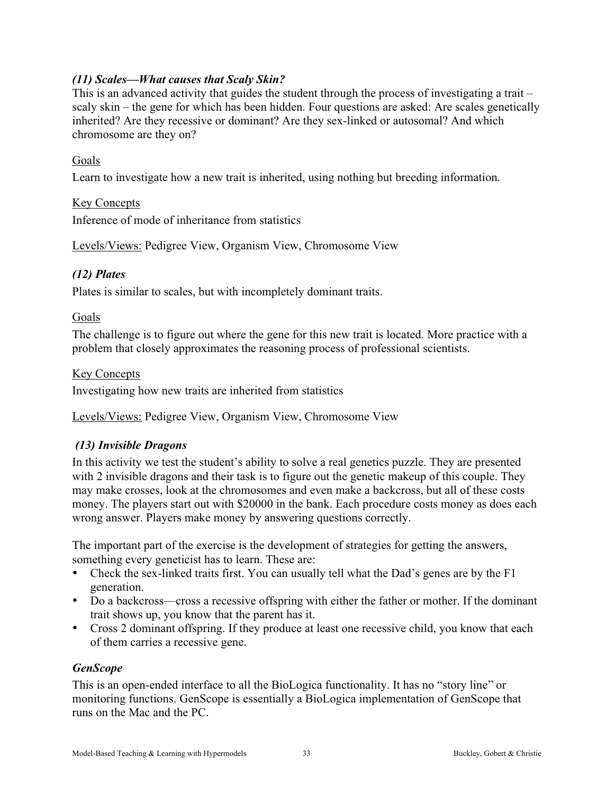# (11) Scales—What causes that Scaly Skin?

This is an advanced activity that guides the student through the process of investigating a trait – scaly skin – the gene for which has been hidden. Four questions are asked: Are scales genetically inherited? Are they recessive or dominant? Are they sex-linked or autosomal? And which chromosome are they on?

#### Goals

Learn to investigate how a new trait is inherited, using nothing but breeding information.

#### Key Concepts

Inference of mode of inheritance from statistics

Levels/Views: Pedigree View, Organism View, Chromosome View

### (12) Plates

Plates is similar to scales, but with incompletely dominant traits.

#### Goals

The challenge is to figure out where the gene for this new trait is located. More practice with a problem that closely approximates the reasoning process of professional scientists.

#### Key Concepts

Investigating how new traits are inherited from statistics

Levels/Views: Pedigree View, Organism View, Chromosome View

#### (13) Invisible Dragons

In this activity we test the student's ability to solve a real genetics puzzle. They are presented with 2 invisible dragons and their task is to figure out the genetic makeup of this couple. They may make crosses, look at the chromosomes and even make a backcross, but all of these costs money. The players start out with \$20000 in the bank. Each procedure costs money as does each wrong answer. Players make money by answering questions correctly.

The important part of the exercise is the development of strategies for getting the answers, something every geneticist has to learn. These are:

- Check the sex-linked traits first. You can usually tell what the Dad's genes are by the F1 generation.
- Do a backcross—cross a recessive offspring with either the father or mother. If the dominant trait shows up, you know that the parent has it.
- Cross 2 dominant offspring. If they produce at least one recessive child, you know that each of them carries a recessive gene.

#### **GenScope**

This is an open-ended interface to all the BioLogica functionality. It has no "story line" or monitoring functions. GenScope is essentially a BioLogica implementation of GenScope that runs on the Mac and the PC.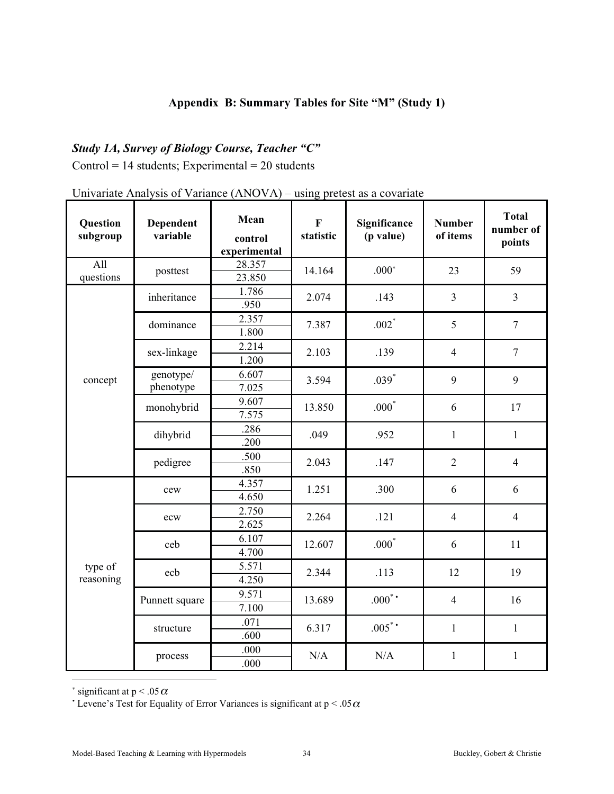# Appendix B: Summary Tables for Site "M" (Study 1)

# Study 1A, Survey of Biology Course, Teacher "C"

Control = 14 students; Experimental =  $20$  students

| Univariate Analysis of Variance (ANOVA) – using pretest as a covariate |  |  |  |
|------------------------------------------------------------------------|--|--|--|
|------------------------------------------------------------------------|--|--|--|

| <b>Question</b><br>subgroup | Dependent<br>variable  | Mean<br>control<br>experimental | $\mathbf{F}$<br>statistic | Significance<br>(p value)      | <b>Number</b><br>of items | <b>Total</b><br>number of<br>points |
|-----------------------------|------------------------|---------------------------------|---------------------------|--------------------------------|---------------------------|-------------------------------------|
| All<br>questions            | posttest               | 28.357<br>23.850                | 14.164                    | $.000*$                        | 23                        | 59                                  |
|                             | inheritance            | 1.786<br>.950                   | 2.074                     | .143                           | $\overline{3}$            | $\overline{3}$                      |
|                             | dominance              | 2.357<br>1.800                  | 7.387                     | $.002*$                        | 5                         | $\overline{7}$                      |
|                             | sex-linkage            | 2.214<br>1.200                  | 2.103                     | .139                           | $\overline{4}$            | $\overline{7}$                      |
| concept                     | genotype/<br>phenotype | 6.607<br>7.025                  | 3.594                     | $.039*$                        | 9                         | 9                                   |
|                             | monohybrid             | 9.607<br>7.575                  | 13.850                    | $.000^{\ast}$                  | 6                         | 17                                  |
|                             | dihybrid               | .286<br>.200                    | .049                      | .952                           | $\mathbf{1}$              | $\mathbf{1}$                        |
|                             | pedigree               | .500<br>.850                    | 2.043                     | .147                           | $\overline{2}$            | $\overline{4}$                      |
|                             | cew                    | 4.357<br>4.650                  | 1.251                     | .300                           | 6                         | 6                                   |
|                             | ecw                    | 2.750<br>2.625                  | 2.264                     | .121                           | $\overline{4}$            | $\overline{4}$                      |
| type of<br>reasoning        | ceb                    | 6.107<br>4.700                  | 12.607                    | $.000*$                        | 6                         | 11                                  |
|                             | ecb                    | 5.571<br>4.250                  | 2.344                     | .113                           | 12                        | 19                                  |
|                             | Punnett square         | 9.571<br>7.100                  | 13.689                    | $.000\overset{{}_\ast}{\cdot}$ | $\overline{4}$            | 16                                  |
|                             | structure              | .071<br>.600                    | 6.317                     | $.005^{\ast\,*}$               | $\mathbf{1}$              | $\mathbf{1}$                        |
|                             | process                | .000<br>.000                    | N/A                       | N/A                            | $\mathbf{1}$              | $\mathbf{1}$                        |

 $*$  significant at p < .05  $\alpha$ 

<sup>•</sup> Levene's Test for Equality of Error Variances is significant at  $p < .05 \alpha$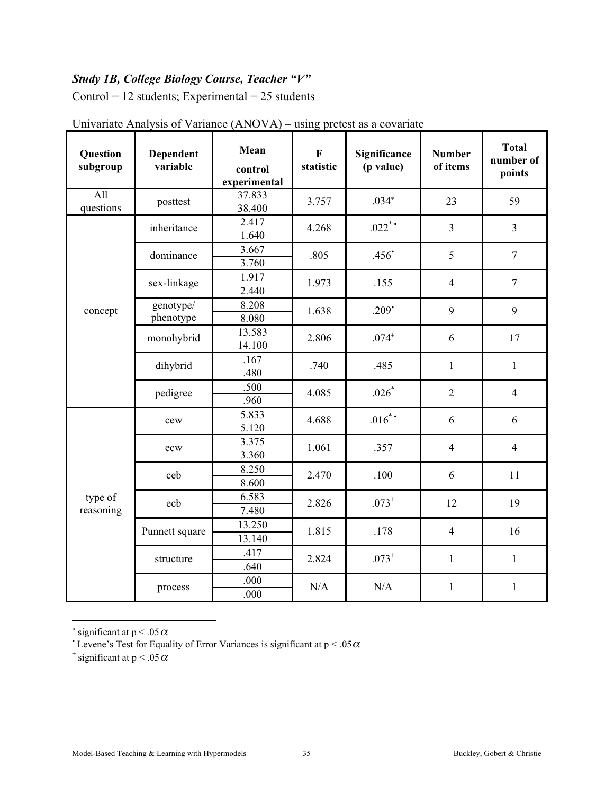# Study 1B, College Biology Course, Teacher "V"

Control = 12 students; Experimental =  $25$  students

| Question<br>subgroup | Dependent<br>variable  | Mean<br>control<br>experimental | $\mathbf{F}$<br>statistic | Significance<br>(p value) | <b>Number</b><br>of items | <b>Total</b><br>number of<br>points |
|----------------------|------------------------|---------------------------------|---------------------------|---------------------------|---------------------------|-------------------------------------|
| All<br>questions     | posttest               | 37.833<br>38.400                | 3.757                     | $.034*$                   | 23                        | 59                                  |
|                      | inheritance            | 2.417<br>1.640                  | 4.268                     | .022 $^{\ast}$            | $\overline{3}$            | $\overline{3}$                      |
|                      | dominance              | 3.667<br>3.760                  | .805                      | $.456^{\degree}$          | 5                         | $\overline{7}$                      |
|                      | sex-linkage            | 1.917<br>2.440                  | 1.973                     | .155                      | $\overline{4}$            | $\boldsymbol{7}$                    |
| concept              | genotype/<br>phenotype | 8.208<br>8.080                  | 1.638                     | $.209$ <sup>*</sup>       | 9                         | 9                                   |
|                      | monohybrid             | 13.583<br>14.100                | 2.806                     | $.074+$                   | 6                         | 17                                  |
|                      | dihybrid               | .167<br>.480                    | .740                      | .485                      | $\mathbf{1}$              | $\mathbf{1}$                        |
|                      | pedigree               | .500<br>.960                    | 4.085                     | $.026*$                   | $\overline{2}$            | $\overline{4}$                      |
| type of<br>reasoning | cew                    | 5.833<br>5.120                  | 4.688                     | $.016$ $^{\circ}$         | 6                         | 6                                   |
|                      | ecw                    | 3.375<br>3.360                  | 1.061                     | .357                      | $\overline{4}$            | $\overline{4}$                      |
|                      | ceb                    | 8.250<br>8.600                  | 2.470                     | .100                      | 6                         | 11                                  |
|                      | ecb                    | 6.583<br>7.480                  | 2.826                     | $.073^{+}$                | 12                        | 19                                  |
|                      | Punnett square         | 13.250<br>13.140                | 1.815                     | .178                      | $\overline{4}$            | 16                                  |
|                      | structure              | .417<br>.640                    | 2.824                     | $.073^{+}$                | $\mathbf{1}$              | $\mathbf{1}$                        |
|                      | process                | .000<br>.000                    | N/A                       | N/A                       | $\mathbf{1}$              | $\mathbf{1}$                        |

| Univariate Analysis of Variance (ANOVA) – using pretest as a covariate |  |  |
|------------------------------------------------------------------------|--|--|
|------------------------------------------------------------------------|--|--|

\* significant at p < .05  $\alpha$ <br>
\* Levene's Test for Equality of Error Variances is significant at p < .05  $\alpha$ 

+ significant at  $p < .05 \alpha$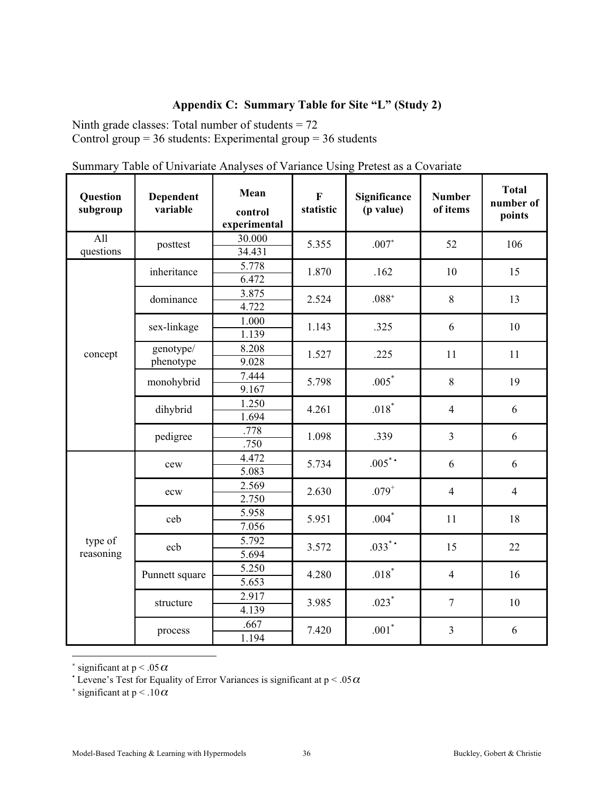# Appendix C: Summary Table for Site "L" (Study 2)

Ninth grade classes: Total number of students = 72 Control group =  $36$  students: Experimental group =  $36$  students

| Question<br>subgroup | Dependent<br>variable  | Mean<br>control<br>experimental | $\mathbf{F}$<br>statistic | Significance<br>(p value) | <b>Number</b><br>of items | <b>Total</b><br>number of<br>points |
|----------------------|------------------------|---------------------------------|---------------------------|---------------------------|---------------------------|-------------------------------------|
| All<br>questions     | posttest               | 30.000<br>34.431                | 5.355                     | $.007*$                   | 52                        | 106                                 |
|                      | inheritance            | 5.778<br>6.472                  | 1.870                     | .162                      | 10                        | 15                                  |
|                      | dominance              | 3.875<br>4.722                  | 2.524                     | $.088^{+}$                | 8                         | 13                                  |
|                      | sex-linkage            | 1.000<br>1.139                  | 1.143                     | .325                      | 6                         | 10                                  |
| concept              | genotype/<br>phenotype | 8.208<br>9.028                  | 1.527                     | .225                      | 11                        | 11                                  |
|                      | monohybrid             | 7.444<br>9.167                  | 5.798                     | $.005*$                   | 8                         | 19                                  |
|                      | dihybrid               | 1.250<br>1.694                  | 4.261                     | $.018*$                   | $\overline{4}$            | 6                                   |
|                      | pedigree               | .778<br>.750                    | 1.098                     | .339                      | $\overline{3}$            | 6                                   |
| type of<br>reasoning | cew                    | 4.472<br>5.083                  | 5.734                     | $.005^{*}$                | 6                         | 6                                   |
|                      | ecw                    | 2.569<br>2.750                  | 2.630                     | $.079^{+}$                | $\overline{4}$            | $\overline{4}$                      |
|                      | ceb                    | 5.958<br>7.056                  | 5.951                     | $.004*$                   | 11                        | 18                                  |
|                      | ecb                    | 5.792<br>5.694                  | 3.572                     | $.033$ **                 | 15                        | 22                                  |
|                      | Punnett square         | 5.250<br>5.653                  | 4.280                     | $.018^{\ast}$             | $\overline{4}$            | 16                                  |
|                      | structure              | 2.917<br>4.139                  | 3.985                     | $.023*$                   | $\tau$                    | 10                                  |
|                      | process                | .667<br>1.194                   | 7.420                     | $.001*$                   | 3                         | 6                                   |

Summary Table of Univariate Analyses of Variance Using Pretest as a Covariate

\* significant at  $p < .05 \alpha$ 

 $\overline{a}$ 

• Levene's Test for Equality of Error Variances is significant at  $p < .05 \alpha$ 

<sup>+</sup> significant at  $p < .10 \alpha$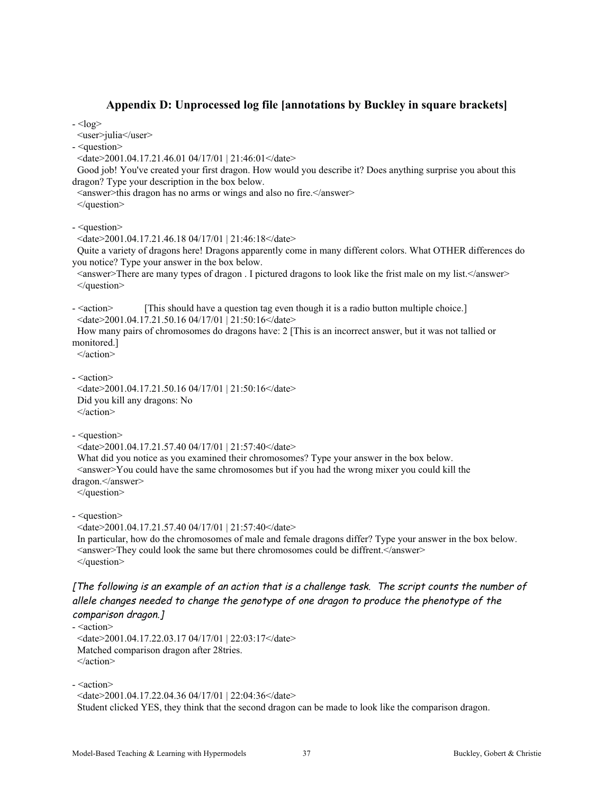#### Appendix D: Unprocessed log file [annotations by Buckley in square brackets]

 $-$  <log>

<user>julia</user>

- <question>

<date>2001.04.17.21.46.01 04/17/01 | 21:46:01</date>

 Good job! You've created your first dragon. How would you describe it? Does anything surprise you about this dragon? Type your description in the box below.

 <answer>this dragon has no arms or wings and also no fire.</answer> </question>

- <question>

<date>2001.04.17.21.46.18 04/17/01 | 21:46:18</date>

 Quite a variety of dragons here! Dragons apparently come in many different colors. What OTHER differences do you notice? Type your answer in the box below.

 $\leq$ answer>There are many types of dragon . I pictured dragons to look like the frist male on my list. $\leq$ answer> </question>

-  $\epsilon$  <action  $\epsilon$  [This should have a question tag even though it is a radio button multiple choice.] <date>2001.04.17.21.50.16 04/17/01 | 21:50:16</date>

 How many pairs of chromosomes do dragons have: 2 [This is an incorrect answer, but it was not tallied or monitored.]

</action>

- <action>

 <date>2001.04.17.21.50.16 04/17/01 | 21:50:16</date> Did you kill any dragons: No </action>

- <question>

<date>2001.04.17.21.57.40 04/17/01 | 21:57:40</date>

 What did you notice as you examined their chromosomes? Type your answer in the box below. <answer>You could have the same chromosomes but if you had the wrong mixer you could kill the dragon.</answer>

</question>

- <question>

<date>2001.04.17.21.57.40 04/17/01 | 21:57:40</date>

 In particular, how do the chromosomes of male and female dragons differ? Type your answer in the box below. <answer>They could look the same but there chromosomes could be diffrent.</answer> </question>

[The following is an example of an action that is a challenge task. The script counts the number of allele changes needed to change the genotype of one dragon to produce the phenotype of the comparison dragon.]

- <action>

<date>2001.04.17.22.03.17 04/17/01 | 22:03:17</date> Matched comparison dragon after 28tries. </action>

- <action>

<date>2001.04.17.22.04.36 04/17/01 | 22:04:36</date> Student clicked YES, they think that the second dragon can be made to look like the comparison dragon.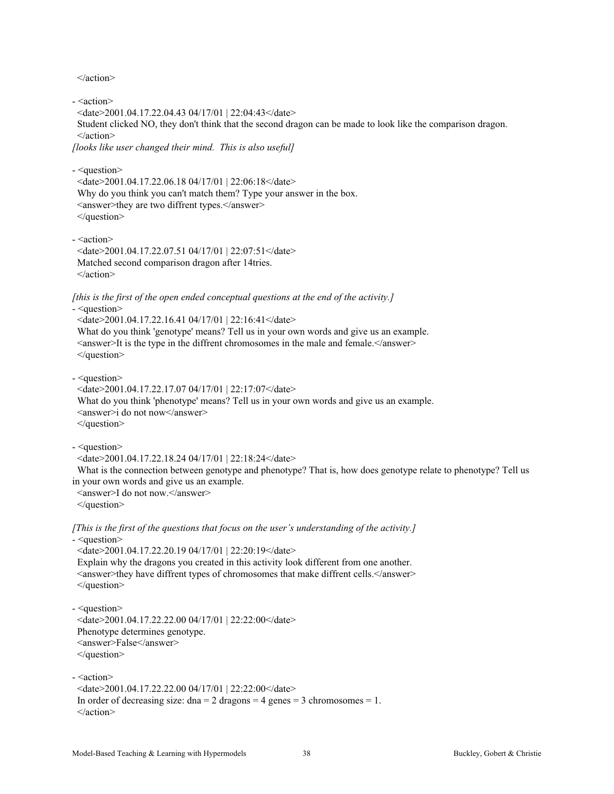</action>

- <action> <date>2001.04.17.22.04.43 04/17/01 | 22:04:43</date> Student clicked NO, they don't think that the second dragon can be made to look like the comparison dragon. </action> [looks like user changed their mind. This is also useful]

- <question>

<date>2001.04.17.22.06.18 04/17/01 | 22:06:18</date> Why do you think you can't match them? Type your answer in the box. <answer>they are two diffrent types.</answer> </question>

- <action> <date>2001.04.17.22.07.51 04/17/01 | 22:07:51</date> Matched second comparison dragon after 14tries. </action>

[this is the first of the open ended conceptual questions at the end of the activity.]

- <question>

 <date>2001.04.17.22.16.41 04/17/01 | 22:16:41</date> What do you think 'genotype' means? Tell us in your own words and give us an example.  $\alpha$  <answer>It is the type in the diffrent chromosomes in the male and female. $\alpha$  answer> </question>

- <question>

 <date>2001.04.17.22.17.07 04/17/01 | 22:17:07</date> What do you think 'phenotype' means? Tell us in your own words and give us an example. <answer>i do not now</answer> </question>

- <question>

<date>2001.04.17.22.18.24 04/17/01 | 22:18:24</date>

 What is the connection between genotype and phenotype? That is, how does genotype relate to phenotype? Tell us in your own words and give us an example.

<answer>I do not now.</answer>

</question>

[This is the first of the questions that focus on the user's understanding of the activity.]

- <question>

<date>2001.04.17.22.20.19 04/17/01 | 22:20:19</date> Explain why the dragons you created in this activity look different from one another. <answer>they have diffrent types of chromosomes that make diffrent cells.</answer> </question>

- <question> <date>2001.04.17.22.22.00 04/17/01 | 22:22:00</date> Phenotype determines genotype. <answer>False</answer> </question>

- <action> <date>2001.04.17.22.22.00 04/17/01 | 22:22:00</date> In order of decreasing size:  $dna = 2 dragons = 4 genes = 3 chromosomes = 1$ . </action>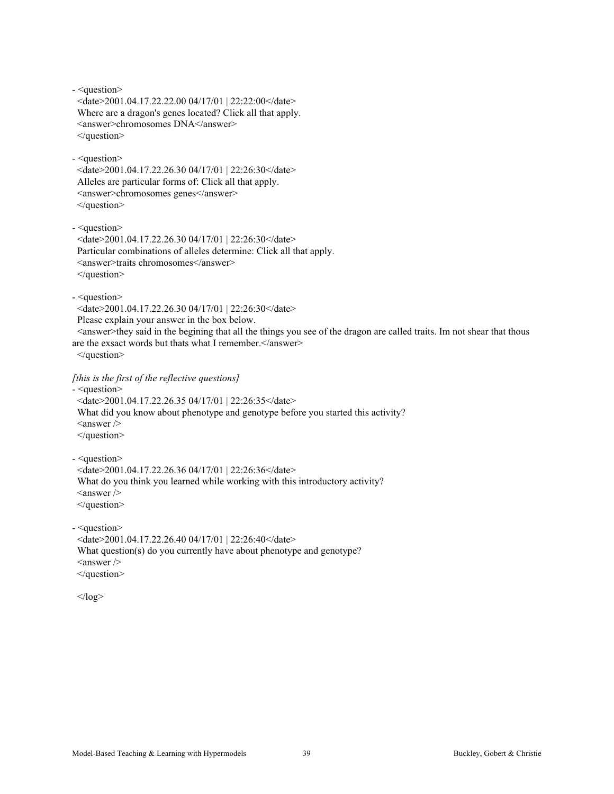- <question> <date>2001.04.17.22.22.00 04/17/01 | 22:22:00</date> Where are a dragon's genes located? Click all that apply. <answer>chromosomes DNA</answer> </question> - <question> <date>2001.04.17.22.26.30 04/17/01 | 22:26:30</date> Alleles are particular forms of: Click all that apply. <answer>chromosomes genes</answer> </question> - <question> <date>2001.04.17.22.26.30 04/17/01 | 22:26:30</date> Particular combinations of alleles determine: Click all that apply. <answer>traits chromosomes</answer> </question> - <question> <date>2001.04.17.22.26.30 04/17/01 | 22:26:30</date> Please explain your answer in the box below.  $\alpha$  answer>they said in the begining that all the things you see of the dragon are called traits. Im not shear that thous are the exsact words but thats what I remember.</answer> </question>  $[this is the first of the reflective questions]$ - <question> <date>2001.04.17.22.26.35 04/17/01 | 22:26:35</date> What did you know about phenotype and genotype before you started this activity?  $\langle$ answer  $\rangle$  </question> - <question> <date>2001.04.17.22.26.36 04/17/01 | 22:26:36</date> What do you think you learned while working with this introductory activity?  $\langle$ answer  $\rangle$  </question> - <question> <date>2001.04.17.22.26.40 04/17/01 | 22:26:40</date> What question(s) do you currently have about phenotype and genotype? <answer /> </question>  $\langle$ log>